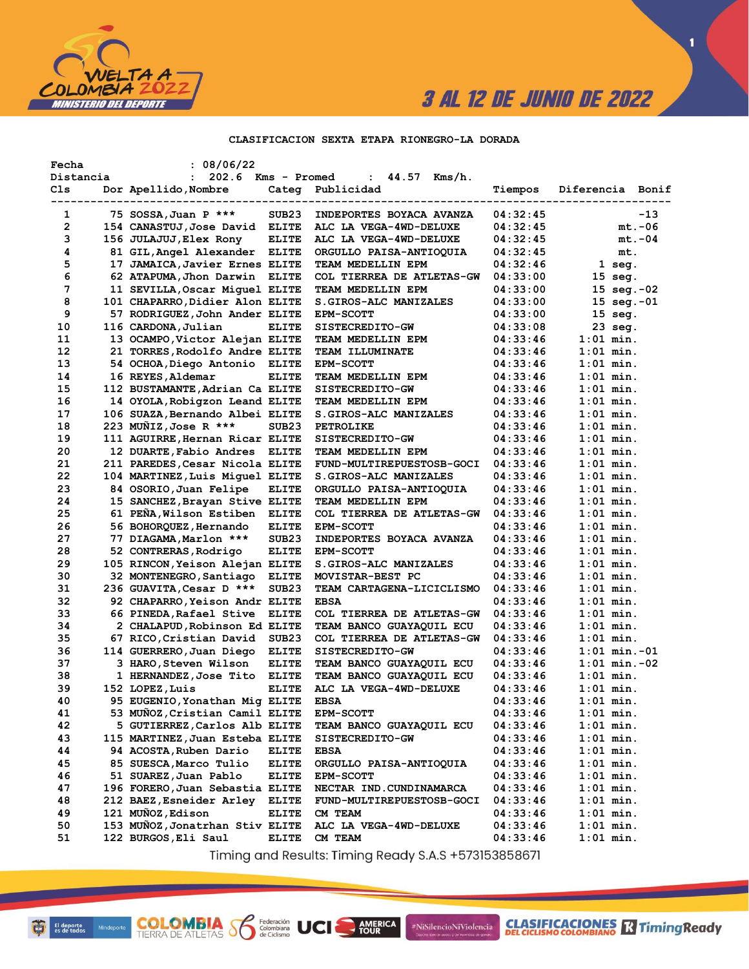

 $\blacksquare$ 

### CLASIFICACION SEXTA ETAPA RIONEGRO-LA DORADA

| Fecha        | : 08/06/22                         |                   |                                  |          |                      |
|--------------|------------------------------------|-------------------|----------------------------------|----------|----------------------|
| Distancia    | 202.6 Kms - Promed<br>$\mathbf{L}$ |                   | : 44.57<br>Kms/h.                |          |                      |
| Cls          | Dor Apellido, Nombre               |                   | Categ Publicidad                 | Tiempos  | Diferencia Bonif     |
| 1            | 75 SOSSA, Juan P ***               | SUB <sub>23</sub> | INDEPORTES BOYACA AVANZA         | 04:32:45 | $-13$                |
| $\mathbf{2}$ | 154 CANASTUJ, Jose David ELITE     |                   | ALC LA VEGA-4WD-DELUXE           | 04:32:45 | $mt.-06$             |
| з            | 156 JULAJUJ,Elex Rony              | <b>ELITE</b>      | ALC LA VEGA-4WD-DELUXE           | 04:32:45 | $mt.-04$             |
| 4            | 81 GIL, Angel Alexander ELITE      |                   | ORGULLO PAISA-ANTIOQUIA          | 04:32:45 | mt.                  |
| 5            | 17 JAMAICA, Javier Ernes ELITE     |                   | TEAM MEDELLIN EPM                | 04:32:46 | 1 seg.               |
| 6            | 62 ATAPUMA, Jhon Darwin ELITE      |                   | COL TIERREA DE ATLETAS-GW        | 04:33:00 | $15$ seq.            |
| 7            | 11 SEVILLA, Oscar Miquel ELITE     |                   | TEAM MEDELLIN EPM                | 04:33:00 | 15 $seg.-02$         |
| 8            | 101 CHAPARRO, Didier Alon ELITE    |                   | S.GIROS-ALC MANIZALES            | 04:33:00 | $15 \text{ seg.-}01$ |
| 9            | 57 RODRIGUEZ, John Ander ELITE     |                   | EPM-SCOTT                        | 04:33:00 | $15 \text{ seq.}$    |
| 10           | 116 CARDONA, Julian                | <b>ELITE</b>      | SISTECREDITO-GW                  | 04:33:08 | 23 seg.              |
| 11           | 13 OCAMPO, Victor Alejan ELITE     |                   | TEAM MEDELLIN EPM                | 04:33:46 | $1:01$ min.          |
| 12           | 21 TORRES, Rodolfo Andre ELITE     |                   | <b>TEAM ILLUMINATE</b>           | 04:33:46 | $1:01$ min.          |
| 13           | 54 OCHOA, Diego Antonio ELITE      |                   | <b>EPM-SCOTT</b>                 | 04:33:46 | $1:01$ min.          |
| 14           | 16 REYES, Aldemar                  | <b>ELITE</b>      | TEAM MEDELLIN EPM                | 04:33:46 | $1:01$ min.          |
| 15           | 112 BUSTAMANTE, Adrian Ca ELITE    |                   | SISTECREDITO-GW                  | 04:33:46 | $1:01$ min.          |
| 16           | 14 OYOLA, Robigzon Leand ELITE     |                   | TEAM MEDELLIN EPM                | 04:33:46 | $1:01$ min.          |
| 17           | 106 SUAZA, Bernando Albei ELITE    |                   | S.GIROS-ALC MANIZALES            | 04:33:46 | $1:01$ min.          |
| 18           | 223 MUÑIZ, Jose R ***              | SUB <sub>23</sub> | <b>PETROLIKE</b>                 | 04:33:46 | $1:01$ min.          |
| 19           | 111 AGUIRRE, Hernan Ricar ELITE    |                   | SISTECREDITO-GW                  | 04:33:46 | $1:01$ min.          |
| 20           | 12 DUARTE, Fabio Andres ELITE      |                   | TEAM MEDELLIN EPM                | 04:33:46 | $1:01$ min.          |
| 21           | 211 PAREDES, Cesar Nicola ELITE    |                   | FUND-MULTIREPUESTOSB-GOCI        | 04:33:46 | $1:01$ min.          |
| 22           | 104 MARTINEZ, Luis Miquel ELITE    |                   | S.GIROS-ALC MANIZALES            | 04:33:46 | $1:01$ min.          |
| 23           | 84 OSORIO, Juan Felipe             | <b>ELITE</b>      | ORGULLO PAISA-ANTIOQUIA          | 04:33:46 | $1:01$ min.          |
| 24           | 15 SANCHEZ, Brayan Stive ELITE     |                   | TEAM MEDELLIN EPM                | 04:33:46 | $1:01$ min.          |
| 25           | 61 PEÑA, Wilson Estiben            | <b>ELITE</b>      | COL TIERREA DE ATLETAS-GW        | 04:33:46 | $1:01$ min.          |
| 26           | 56 BOHORQUEZ, Hernando             | <b>ELITE</b>      | <b>EPM-SCOTT</b>                 | 04:33:46 | $1:01$ min.          |
| 27           | 77 DIAGAMA, Marlon ***             | SUB <sub>23</sub> | INDEPORTES BOYACA AVANZA         | 04:33:46 | $1:01$ min.          |
| 28           | 52 CONTRERAS, Rodrigo              | <b>ELITE</b>      | <b>EPM-SCOTT</b>                 | 04:33:46 | $1:01$ min.          |
| 29           | 105 RINCON, Yeison Alejan ELITE    |                   | S.GIROS-ALC MANIZALES            | 04:33:46 | $1:01$ min.          |
| 30           | 32 MONTENEGRO, Santiago            | <b>ELITE</b>      | MOVISTAR-BEST PC                 | 04:33:46 | $1:01$ min.          |
| 31           | 236 GUAVITA, Cesar D ***           | SUB <sub>23</sub> | TEAM CARTAGENA-LICICLISMO        | 04:33:46 | $1:01$ min.          |
| 32           | 92 CHAPARRO, Yeison Andr ELITE     |                   | <b>EBSA</b>                      | 04:33:46 | $1:01$ min.          |
| 33           | 66 PINEDA, Rafael Stive            | <b>ELITE</b>      | COL TIERREA DE ATLETAS-GW        | 04:33:46 | $1:01$ min.          |
| 34           | 2 CHALAPUD, Robinson Ed ELITE      |                   | TEAM BANCO GUAYAQUIL ECU         | 04:33:46 | $1:01$ min.          |
| 35           | 67 RICO, Cristian David            | SUB <sub>23</sub> | <b>COL TIERREA DE ATLETAS-GW</b> | 04:33:46 | $1:01$ min.          |
| 36           | 114 GUERRERO, Juan Diego           | <b>ELITE</b>      | SISTECREDITO-GW                  | 04:33:46 | $1:01$ min. $-01$    |
| 37           | 3 HARO, Steven Wilson              | <b>ELITE</b>      | TEAM BANCO GUAYAQUIL ECU         | 04:33:46 | $1:01$ min. $-02$    |
| 38           | 1 HERNANDEZ, Jose Tito ELITE       |                   | TEAM BANCO GUAYAQUIL ECU         | 04:33:46 | $1:01$ min.          |
| 39           | 152 LOPEZ, Luis                    | <b>ELITE</b>      | ALC LA VEGA-4WD-DELUXE           | 04:33:46 | $1:01$ min.          |
| 40           | 95 EUGENIO, Yonathan Mig ELITE     |                   | <b>EBSA</b>                      | 04:33:46 | $1:01$ min.          |
| 41           | 53 MUÑOZ, Cristian Camil ELITE     |                   | EPM-SCOTT                        | 04:33:46 | $1:01$ min.          |
| 42           | 5 GUTIERREZ, Carlos Alb ELITE      |                   | TEAM BANCO GUAYAQUIL ECU         | 04:33:46 | $1:01$ min.          |
| 43           | 115 MARTINEZ, Juan Esteba ELITE    |                   | SISTECREDITO-GW                  | 04:33:46 | $1:01$ min.          |
| 44           | 94 ACOSTA, Ruben Dario             | <b>ELITE</b>      | <b>EBSA</b>                      | 04:33:46 | $1:01$ min.          |
| 45           | 85 SUESCA, Marco Tulio             | <b>ELITE</b>      | ORGULLO PAISA-ANTIOQUIA          | 04:33:46 | $1:01$ min.          |
| 46           | 51 SUAREZ, Juan Pablo              | <b>ELITE</b>      | EPM-SCOTT                        | 04:33:46 | $1:01$ min.          |
| 47           | 196 FORERO, Juan Sebastia ELITE    |                   | NECTAR IND. CUNDINAMARCA         | 04:33:46 | $1:01$ min.          |
| 48           | 212 BAEZ, Esneider Arley           | <b>ELITE</b>      | FUND-MULTIREPUESTOSB-GOCI        | 04:33:46 | $1:01$ min.          |
| 49           | 121 MUÑOZ, Edison                  | <b>ELITE</b>      | CM TEAM                          | 04:33:46 | $1:01$ min.          |
| 50           | 153 MUÑOZ, Jonatrhan Stiv ELITE    |                   | ALC LA VEGA-4WD-DELUXE           | 04:33:46 | $1:01$ min.          |
| 51           | 122 BURGOS, Eli Saul               | <b>ELITE</b>      | CM TEAM                          | 04:33:46 | $1:01$ min.          |

Timing and Results: Timing Ready S.A.S +573153858671

AMERICA

#NiSilencioNiViolencia

**COLOMBIA S6** 

Federación<br>Colombiana<br>de Ciclismo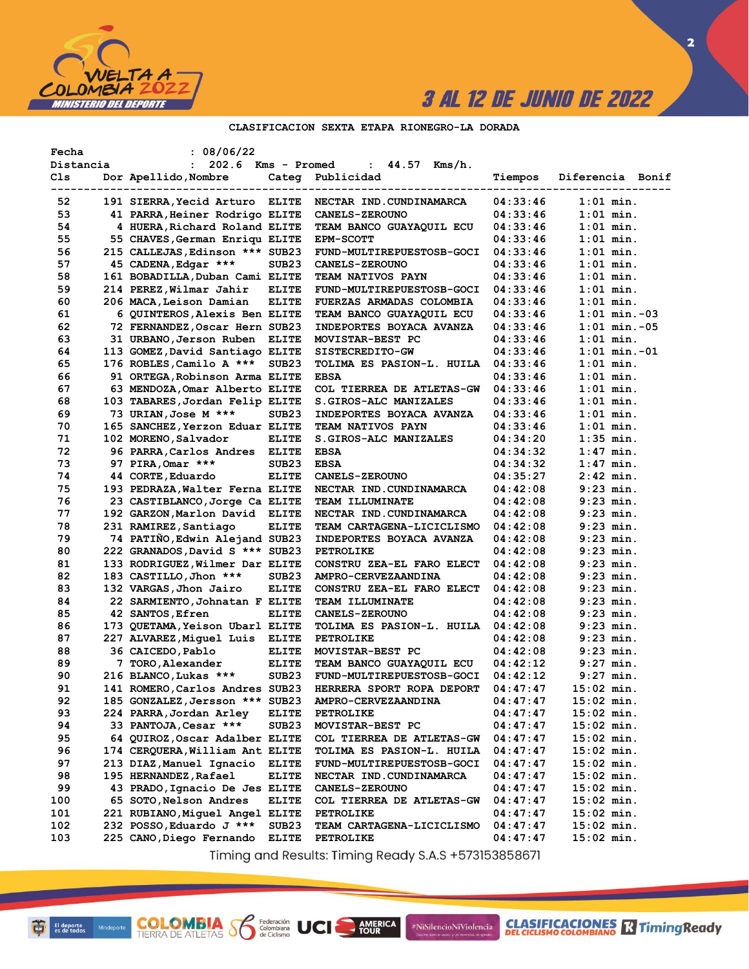

 $\overline{\mathbf{2}}$ 

## CLASIFICACION SEXTA ETAPA RIONEGRO-LA DORADA

| Fecha     | : 08/06/22                      |                   |                                                         |          |                   |
|-----------|---------------------------------|-------------------|---------------------------------------------------------|----------|-------------------|
| Distancia | : 202.6 Kms - Promed            |                   | : $44.57$ Kms/h.                                        |          |                   |
| Cls       | Dor Apellido, Nombre            |                   | Categ Publicidad                                        | Tiempos  | Diferencia Bonif  |
| 52        |                                 |                   | 191 SIERRA, Yecid Arturo ELITE NECTAR IND. CUNDINAMARCA | 04:33:46 | $1:01$ min.       |
| 53        | 41 PARRA, Heiner Rodrigo ELITE  |                   | <b>CANELS-ZEROUNO</b>                                   | 04:33:46 | $1:01$ min.       |
| 54        | 4 HUERA, Richard Roland ELITE   |                   | TEAM BANCO GUAYAQUIL ECU                                | 04:33:46 | $1:01$ min.       |
| 55        | 55 CHAVES, German Enriqu ELITE  |                   | <b>EPM-SCOTT</b>                                        | 04:33:46 | $1:01$ min.       |
| 56        | 215 CALLEJAS, Edinson *** SUB23 |                   | FUND-MULTIREPUESTOSB-GOCI                               | 04:33:46 | $1:01$ min.       |
| 57        | 45 CADENA, Edgar ***            | SUB <sub>23</sub> | <b>CANELS-ZEROUNO</b>                                   | 04:33:46 | $1:01$ min.       |
| 58        | 161 BOBADILLA, Duban Cami ELITE |                   | TEAM NATIVOS PAYN                                       | 04:33:46 | $1:01$ min.       |
| 59        | 214 PEREZ, Wilmar Jahir         | <b>ELITE</b>      | FUND-MULTIREPUESTOSB-GOCI                               | 04:33:46 | $1:01$ min.       |
| 60        | 206 MACA,Leison Damian          | <b>ELITE</b>      | FUERZAS ARMADAS COLOMBIA                                | 04:33:46 | $1:01$ min.       |
| 61        | 6 QUINTEROS, Alexis Ben ELITE   |                   | TEAM BANCO GUAYAQUIL ECU                                | 04:33:46 | $1:01$ min. $-03$ |
| 62        | 72 FERNANDEZ, Oscar Hern SUB23  |                   | INDEPORTES BOYACA AVANZA                                | 04:33:46 | $1:01$ min. $-05$ |
| 63        | 31 URBANO, Jerson Ruben ELITE   |                   | MOVISTAR-BEST PC                                        | 04:33:46 | $1:01$ min.       |
| 64        | 113 GOMEZ, David Santiago ELITE |                   | SISTECREDITO-GW                                         | 04:33:46 | $1:01$ min. $-01$ |
| 65        | 176 ROBLES,Camilo A ***         | SUB <sub>23</sub> | TOLIMA ES PASION-L. HUILA                               | 04:33:46 | $1:01$ min.       |
| 66        | 91 ORTEGA, Robinson Arma ELITE  |                   | <b>EBSA</b>                                             | 04:33:46 | $1:01$ min.       |
| 67        | 63 MENDOZA, Omar Alberto ELITE  |                   | COL TIERREA DE ATLETAS-GW                               | 04:33:46 | $1:01$ min.       |
| 68        | 103 TABARES, Jordan Felip ELITE |                   | S.GIROS-ALC MANIZALES                                   | 04:33:46 | $1:01$ min.       |
| 69        | 73 URIAN, Jose M ***            | SUB <sub>23</sub> | INDEPORTES BOYACA AVANZA                                | 04:33:46 | $1:01$ min.       |
| 70        | 165 SANCHEZ, Yerzon Eduar ELITE |                   | TEAM NATIVOS PAYN                                       | 04:33:46 | $1:01$ min.       |
| 71        | 102 MORENO, Salvador            | ELITE             | S.GIROS-ALC MANIZALES                                   | 04:34:20 | $1:35$ min.       |
| 72        | 96 PARRA, Carlos Andres ELITE   |                   | <b>EBSA</b>                                             | 04:34:32 | $1:47$ min.       |
| 73        | 97 PIRA, Omar ***               | SUB <sub>23</sub> | <b>EBSA</b>                                             | 04:34:32 | $1:47$ min.       |
| 74        | 44 CORTE, Eduardo               | <b>ELITE</b>      | <b>CANELS-ZEROUNO</b>                                   | 04:35:27 | $2:42$ min.       |
| 75        | 193 PEDRAZA, Walter Ferna ELITE |                   | NECTAR IND. CUNDINAMARCA                                | 04:42:08 | $9:23$ min.       |
| 76        | 23 CASTIBLANCO, Jorge Ca ELITE  |                   | TEAM ILLUMINATE                                         | 04:42:08 | $9:23$ min.       |
| 77        | 192 GARZON, Marlon David ELITE  |                   | NECTAR IND. CUNDINAMARCA                                | 04:42:08 | $9:23$ min.       |
| 78        | 231 RAMIREZ, Santiago           | <b>ELITE</b>      | TEAM CARTAGENA-LICICLISMO                               | 04:42:08 | $9:23$ min.       |
| 79        | 74 PATIÑO, Edwin Alejand SUB23  |                   | INDEPORTES BOYACA AVANZA                                | 04:42:08 | $9:23$ min.       |
| 80        | 222 GRANADOS, David S *** SUB23 |                   | <b>PETROLIKE</b>                                        | 04:42:08 | 9:23 min.         |
| 81        | 133 RODRIGUEZ, Wilmer Dar ELITE |                   | CONSTRU ZEA-EL FARO ELECT                               | 04:42:08 | 9:23 min.         |
| 82        | 183 CASTILLO, Jhon ***          | SUB <sub>23</sub> | AMPRO-CERVEZAANDINA                                     | 04:42:08 | 9:23 min.         |
| 83        | 132 VARGAS,Jhon Jairo           | <b>ELITE</b>      | CONSTRU ZEA-EL FARO ELECT                               | 04:42:08 | $9:23$ min.       |
| 84        | 22 SARMIENTO, Johnatan F ELITE  |                   | TEAM ILLUMINATE                                         | 04:42:08 | $9:23$ min.       |
| 85        | 42 SANTOS, Efren                | <b>ELITE</b>      | <b>CANELS-ZEROUNO</b>                                   | 04:42:08 | $9:23$ min.       |
| 86        | 173 QUETAMA, Yeison Ubarl ELITE |                   | TOLIMA ES PASION-L. HUILA                               | 04:42:08 | $9:23$ min.       |
| 87        | 227 ALVAREZ, Miguel Luis ELITE  |                   | <b>PETROLIKE</b>                                        | 04:42:08 | $9:23$ min.       |
| 88        | 36 CAICEDO, Pablo               | <b>ELITE</b>      | MOVISTAR-BEST PC                                        | 04:42:08 | $9:23$ min.       |
| 89        | 7 TORO, Alexander               | <b>ELITE</b>      | TEAM BANCO GUAYAQUIL ECU                                | 04:42:12 | $9:27$ min.       |
| 90        | 216 BLANCO, Lukas ***           | SUB23             | FUND-MULTIREPUESTOSB-GOCI                               | 04:42:12 | $9:27$ min.       |
| 91        | 141 ROMERO, Carlos Andres SUB23 |                   | HERRERA SPORT ROPA DEPORT                               | 04:47:47 | $15:02$ min.      |
| 92        | 185 GONZALEZ, Jersson *** SUB23 |                   | AMPRO-CERVEZAANDINA                                     | 04:47:47 | $15:02$ min.      |
| 93        | 224 PARRA,Jordan Arley          | ELITE             | <b>PETROLIKE</b>                                        | 04:47:47 | $15:02$ min.      |
| 94        | 33 PANTOJA, Cesar ***           | SUB23             | MOVISTAR-BEST PC                                        | 04:47:47 | $15:02$ min.      |
| 95        | 64 QUIROZ, Oscar Adalber ELITE  |                   | COL TIERREA DE ATLETAS-GW                               | 04:47:47 | $15:02$ min.      |
| 96        | 174 CERQUERA, William Ant ELITE |                   | TOLIMA ES PASION-L. HUILA                               | 04:47:47 | $15:02$ min.      |
| 97        | 213 DIAZ, Manuel Ignacio        | ELITE             | FUND-MULTIREPUESTOSB-GOCI                               | 04:47:47 | $15:02$ min.      |
| 98        | 195 HERNANDEZ, Rafael           | ELITE             | NECTAR IND. CUNDINAMARCA                                | 04:47:47 | $15:02$ min.      |
| 99        | 43 PRADO, Ignacio De Jes ELITE  |                   | CANELS-ZEROUNO                                          | 04:47:47 | $15:02$ min.      |
| 100       | 65 SOTO, Nelson Andres          | ELITE             | COL TIERREA DE ATLETAS-GW                               | 04:47:47 | $15:02$ min.      |
| 101       | 221 RUBIANO,Miquel Angel ELITE  |                   | <b>PETROLIKE</b>                                        | 04:47:47 | $15:02$ min.      |
| 102       | 232 POSSO, Eduardo J ***        | SUB <sub>23</sub> | TEAM CARTAGENA-LICICLISMO                               | 04:47:47 | $15:02$ min.      |
| 103       | 225 CANO, Diego Fernando        | ELITE             | <b>PETROLIKE</b>                                        | 04:47:47 | $15:02$ min.      |

Timing and Results: Timing Ready S.A.S +573153858671

AMERICA

#NiSilencioNiViolencia

Federación<br>Colombiana<br>de Ciclismo

UCI

**COLOMBIA S**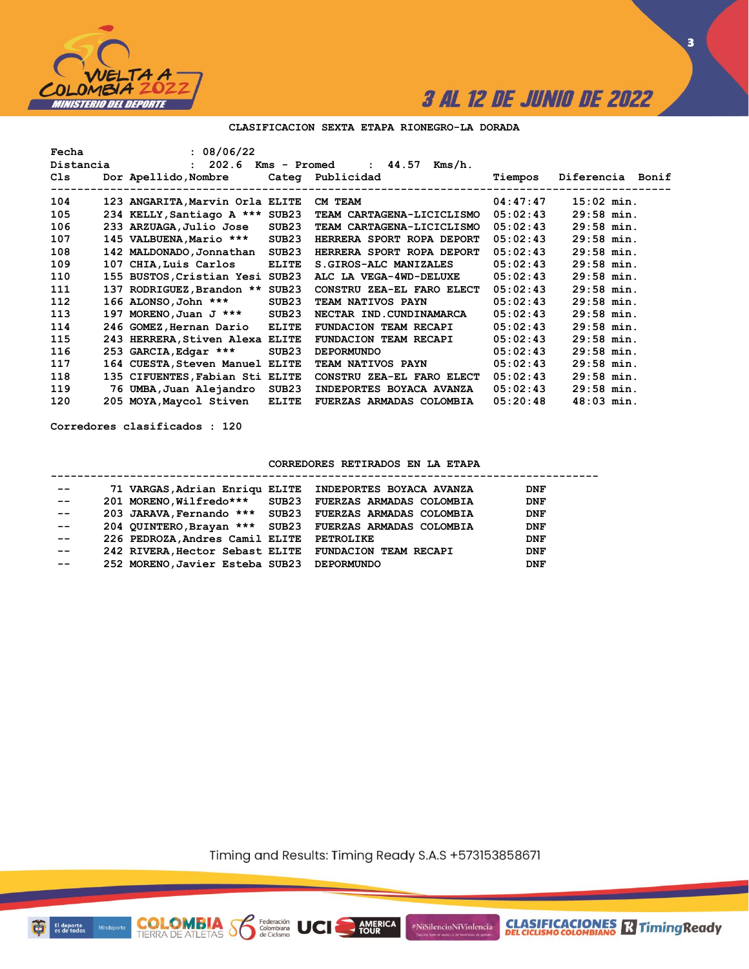

**3**

#### **CLASIFICACION SEXTA ETAPA RIONEGRO-LA DORADA**

| Fecha     | : 08/06/22                      |              |                                                                                                                                                                                                                               |          |                  |
|-----------|---------------------------------|--------------|-------------------------------------------------------------------------------------------------------------------------------------------------------------------------------------------------------------------------------|----------|------------------|
| Distancia |                                 |              | : 202.6 Kms - Promed : 44.57 Kms/h.                                                                                                                                                                                           |          |                  |
| Cls       |                                 |              | Dor Apellido, Nombre Categ Publicidad                                                                                                                                                                                         | Tiempos  | Diferencia Bonif |
|           |                                 |              |                                                                                                                                                                                                                               |          |                  |
| 104       | 123 ANGARITA, Marvin Orla ELITE |              | CM TEAM NEWSLETTED AND THE STATE OF THE STATE OF THE STATE OF THE STATE OF THE STATE OF THE STATE OF THE STATE OF THE STATE OF THE STATE OF THE STATE OF THE STATE OF THE STATE OF THE STATE OF THE STATE OF THE STATE OF THE | 04:47:47 | $15:02$ min.     |
| 105       | 234 KELLY, Santiago A *** SUB23 |              | TEAM CARTAGENA-LICICLISMO                                                                                                                                                                                                     | 05:02:43 | $29:58$ min.     |
| 106       | 233 ARZUAGA, Julio Jose SUB23   |              | TEAM CARTAGENA-LICICLISMO                                                                                                                                                                                                     | 05:02:43 | $29:58$ min.     |
| 107       | 145 VALBUENA, Mario ***         | SUB23        | HERRERA SPORT ROPA DEPORT                                                                                                                                                                                                     | 05:02:43 | $29:58$ min.     |
| 108       | 142 MALDONADO, Jonnathan SUB23  |              | HERRERA SPORT ROPA DEPORT                                                                                                                                                                                                     | 05:02:43 | $29:58$ min.     |
| 109       | 107 CHIA, Luis Carlos           | <b>ELITE</b> | S. GIROS-ALC MANIZALES                                                                                                                                                                                                        | 05:02:43 | $29:58$ min.     |
| 110       | 155 BUSTOS, Cristian Yesi SUB23 |              | ALC LA VEGA-4WD-DELUXE                                                                                                                                                                                                        | 05:02:43 | $29:58$ min.     |
| 111       | 137 RODRIGUEZ, Brandon ** SUB23 |              | CONSTRU ZEA-EL FARO ELECT                                                                                                                                                                                                     | 05:02:43 | $29:58$ min.     |
| 112       | 166 ALONSO, John ***            | SUB23        | TEAM NATIVOS PAYN                                                                                                                                                                                                             | 05:02:43 | $29:58$ min.     |
| 113       | 197 MORENO, Juan J *** SUB23    |              | NECTAR IND.CUNDINAMARCA                                                                                                                                                                                                       | 05:02:43 | $29:58$ min.     |
| 114       | 246 GOMEZ, Hernan Dario         | <b>ELITE</b> | <b>FUNDACION TEAM RECAPI</b>                                                                                                                                                                                                  | 05:02:43 | $29:58$ min.     |
| 115       | 243 HERRERA, Stiven Alexa ELITE |              | <b>FUNDACION TEAM RECAPI</b>                                                                                                                                                                                                  | 05:02:43 | $29:58$ min.     |
| 116       | 253 GARCIA, Edgar ***           | SUB23        | <b>DEPORMUNDO</b>                                                                                                                                                                                                             | 05:02:43 | $29:58$ min.     |
| 117       | 164 CUESTA, Steven Manuel ELITE |              | <b>TEAM NATIVOS PAYN</b>                                                                                                                                                                                                      | 05:02:43 | $29:58$ min.     |
| 118       | 135 CIFUENTES, Fabian Sti ELITE |              | CONSTRU ZEA-EL FARO ELECT                                                                                                                                                                                                     | 05:02:43 | $29:58$ min.     |
| 119       | 76 UMBA, Juan Alejandro         | SUB23        | INDEPORTES BOYACA AVANZA                                                                                                                                                                                                      | 05:02:43 | $29:58$ min.     |
| 120       | 205 MOYA, Maycol Stiven         | ELITE        | FUERZAS ARMADAS COLOMBIA                                                                                                                                                                                                      | 05:20:48 | $48:03$ min.     |

**Corredores clasificados : 120**

#### **CORREDORES RETIRADOS EN LA ETAPA**

#### **----------------------------------------------------------------------------------- -- 71 VARGAS,Adrian Enriqu ELITE INDEPORTES BOYACA AVANZA DNF -- 201 MORENO,Wilfredo\*\*\* SUB23 FUERZAS ARMADAS COLOMBIA DNF -- 203 JARAVA,Fernando \*\*\* SUB23 FUERZAS ARMADAS COLOMBIA DNF -- 204 QUINTERO,Brayan \*\*\* SUB23 FUERZAS ARMADAS COLOMBIA DNF -- 226 PEDROZA,Andres Camil ELITE PETROLIKE DNF -- 242 RIVERA,Hector Sebast ELITE FUNDACION TEAM RECAPI DNF -- 252 MORENO,Javier Esteba SUB23 DEPORMUNDO DNF**

Timing and Results: Timing Ready S.A.S +573153858671

AMERICA

UCI

#NiSilencioNiViolencia



**COLOMBIA**<br>TIERRA DE ATLETAS **S** de Ciclismo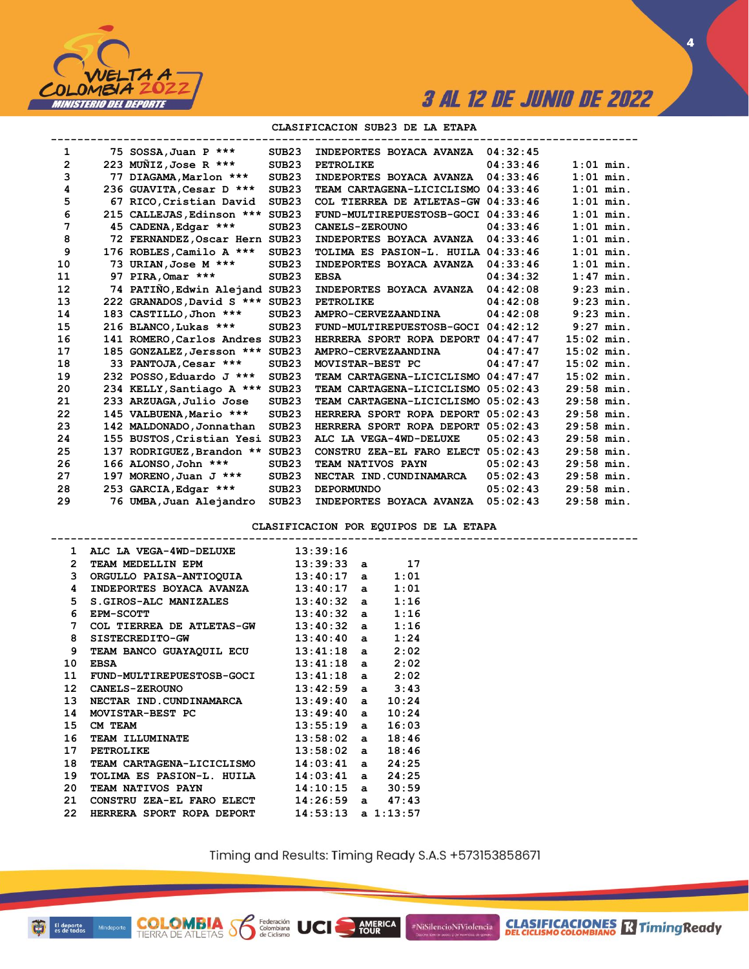

**CLASIFICACIONES R** Timing Ready

**4**

#### **CLASIFICACION SUB23 DE LA ETAPA**

| 1  |     | 75 SOSSA, Juan P ***            | SUB <sub>23</sub> | INDEPORTES BOYACA AVANZA           | 04:32:45 |              |  |
|----|-----|---------------------------------|-------------------|------------------------------------|----------|--------------|--|
| 2  |     | 223 MUÑIZ, Jose R ***           | SUB <sub>23</sub> | <b>PETROLIKE</b>                   | 04:33:46 | $1:01$ min.  |  |
| 3  |     | 77 DIAGAMA, Marlon ***          | SUB <sub>23</sub> | INDEPORTES BOYACA AVANZA           | 04:33:46 | $1:01$ min.  |  |
| 4  |     | 236 GUAVITA, Cesar D ***        | SUB23             | TEAM CARTAGENA-LICICLISMO          | 04:33:46 | $1:01$ min.  |  |
| 5  |     | 67 RICO, Cristian David         | SUB <sub>23</sub> | COL TIERREA DE ATLETAS-GW 04:33:46 |          | $1:01$ min.  |  |
| 6  |     | 215 CALLEJAS, Edinson ***       | SUB <sub>23</sub> | FUND-MULTIREPUESTOSB-GOCI          | 04:33:46 | $1:01$ min.  |  |
| 7  |     | 45 CADENA, Edgar ***            | SUB <sub>23</sub> | <b>CANELS-ZEROUNO</b>              | 04:33:46 | $1:01$ min.  |  |
| 8  |     | 72 FERNANDEZ, Oscar Hern SUB23  |                   | INDEPORTES BOYACA AVANZA           | 04:33:46 | $1:01$ min.  |  |
| 9  |     | 176 ROBLES, Camilo A ***        | SUB <sub>23</sub> | TOLIMA ES PASION-L. HUILA          | 04:33:46 | $1:01$ min.  |  |
| 10 |     | 73 URIAN, Jose M ***            | SUB <sub>23</sub> | INDEPORTES BOYACA AVANZA           | 04:33:46 | $1:01$ min.  |  |
| 11 | 97  | PIRA, Omar ***                  | SUB <sub>23</sub> | <b>EBSA</b>                        | 04:34:32 | $1:47$ min.  |  |
| 12 |     | 74 PATIÑO, Edwin Alejand SUB23  |                   | INDEPORTES BOYACA AVANZA           | 04:42:08 | $9:23$ min.  |  |
| 13 |     | 222 GRANADOS, David S *** SUB23 |                   | PETROLIKE                          | 04:42:08 | $9:23$ min.  |  |
| 14 |     | 183 CASTILLO, Jhon ***          | SUB <sub>23</sub> | <b>AMPRO-CERVEZAANDINA</b>         | 04:42:08 | $9:23$ min.  |  |
| 15 |     | 216 BLANCO, Lukas ***           | SUB <sub>23</sub> | FUND-MULTIREPUESTOSB-GOCI          | 04:42:12 | $9:27$ min.  |  |
| 16 |     | 141 ROMERO, Carlos Andres SUB23 |                   | HERRERA SPORT ROPA DEPORT          | 04:47:47 | $15:02$ min. |  |
| 17 |     | 185 GONZALEZ, Jersson *** SUB23 |                   | AMPRO-CERVEZAANDINA                | 04:47:47 | $15:02$ min. |  |
| 18 |     | 33 PANTOJA, Cesar ***           | SUB <sub>23</sub> | MOVISTAR-BEST PC                   | 04:47:47 | $15:02$ min. |  |
| 19 |     | 232 POSSO, Eduardo J ***        | SUB <sub>23</sub> | TEAM CARTAGENA-LICICLISMO          | 04:47:47 | $15:02$ min. |  |
| 20 |     | 234 KELLY, Santiago A ***       | SUB <sub>23</sub> | TEAM CARTAGENA-LICICLISMO          | 05:02:43 | $29:58$ min. |  |
| 21 |     | 233 ARZUAGA, Julio Jose         | SUB <sub>23</sub> | TEAM CARTAGENA-LICICLISMO          | 05:02:43 | $29:58$ min. |  |
| 22 |     | 145 VALBUENA, Mario ***         | SUB <sub>23</sub> | HERRERA SPORT ROPA DEPORT          | 05:02:43 | $29:58$ min. |  |
| 23 |     | 142 MALDONADO, Jonnathan        | SUB <sub>23</sub> | HERRERA SPORT ROPA DEPORT          | 05:02:43 | $29:58$ min. |  |
| 24 |     | 155 BUSTOS, Cristian Yesi SUB23 |                   | ALC LA VEGA-4WD-DELUXE             | 05:02:43 | $29:58$ min. |  |
| 25 | 137 | RODRIGUEZ, Brandon **           | SUB <sub>23</sub> | CONSTRU ZEA-EL FARO ELECT          | 05:02:43 | $29:58$ min. |  |
| 26 |     | 166 ALONSO, John ***            | SUB <sub>23</sub> | TEAM NATIVOS PAYN                  | 05:02:43 | $29:58$ min. |  |
| 27 |     | 197 MORENO, Juan J ***          | SUB <sub>23</sub> | NECTAR IND. CUNDINAMARCA           | 05:02:43 | $29:58$ min. |  |
| 28 |     | 253 GARCIA, Edgar ***           | SUB <sub>23</sub> | <b>DEPORMUNDO</b>                  | 05:02:43 | $29:58$ min. |  |
| 29 |     | 76 UMBA, Juan Alejandro         | SUB <sub>23</sub> | INDEPORTES BOYACA AVANZA           | 05:02:43 | $29:58$ min. |  |

**CLASIFICACION POR EQUIPOS DE LA ETAPA**

|             | 1 ALC LA VEGA-4WD-DELUXE 13:39:16                                 |  |      |  |
|-------------|-------------------------------------------------------------------|--|------|--|
| 2           | TEAM MEDELLIN EPM 13:39:33 a 17                                   |  |      |  |
|             | 3 ORGULLO PAISA-ANTIOQUIA 13:40:17 a 1:01                         |  |      |  |
| 4           | INDEPORTES BOYACA AVANZA 13:40:17 a                               |  | 1:01 |  |
| 5           | $S.GIROS-ALC$ MANIZALES $13:40:32$ a $1:16$                       |  |      |  |
| 6           | $13:40:32$ a<br><b>EPM-SCOTT</b>                                  |  | 1:16 |  |
| $7^{\circ}$ | COL TIERREA DE ATLETAS-GW 13:40:32 a                              |  | 1:16 |  |
| 8           | SISTECREDITO-GW 13:40:40 a $1:24$                                 |  |      |  |
| 9           | TEAM BANCO GUAYAQUIL ECU 13:41:18 a 2:02                          |  |      |  |
| 10          | $13:41:18$ a $2:02$<br><b>EBSA</b>                                |  |      |  |
| 11          | FUND-MULTIREPUESTOSB-GOCI 13:41:18 a 2:02                         |  |      |  |
| 12          | CANELS-ZEROUNO 13:42:59 a 3:43                                    |  |      |  |
| 13          | NECTAR IND. CUNDINAMARCA 13:49:40 a 10:24                         |  |      |  |
| 14          | MOVISTAR-BEST PC 13:49:40 a 10:24                                 |  |      |  |
| 15          | $13:55:19$ a $16:03$<br>CM TEAM                                   |  |      |  |
| 16          | TEAM ILLUMINATE<br>PETROLIKE 13:58:02 a 18:46<br>13:58:02 a 18:46 |  |      |  |
| 17          |                                                                   |  |      |  |
| 18          | TEAM CARTAGENA-LICICLISMO 14:03:41 a 24:25                        |  |      |  |
| 19          | TOLIMA ES PASION-L. HUILA 14:03:41 a 24:25                        |  |      |  |
| 20          | <b>TEAM NATIVOS PAYN</b> 14:10:15 a 30:59                         |  |      |  |
| 21          | CONSTRU ZEA-EL FARO ELECT 14:26:59 a 47:43                        |  |      |  |
| 22          | HERRERA SPORT ROPA DEPORT $14:53:13$ a $1:13:57$                  |  |      |  |
|             |                                                                   |  |      |  |

**COLOMBIA**<br>TIERRA DE ATLETAS **S** de Ciclismo

Timing and Results: Timing Ready S.A.S +573153858671

AMERICA

UCI

#NiSilencioNiViolencia

ū El deporte<br>
es de todos<br>
Mindeporte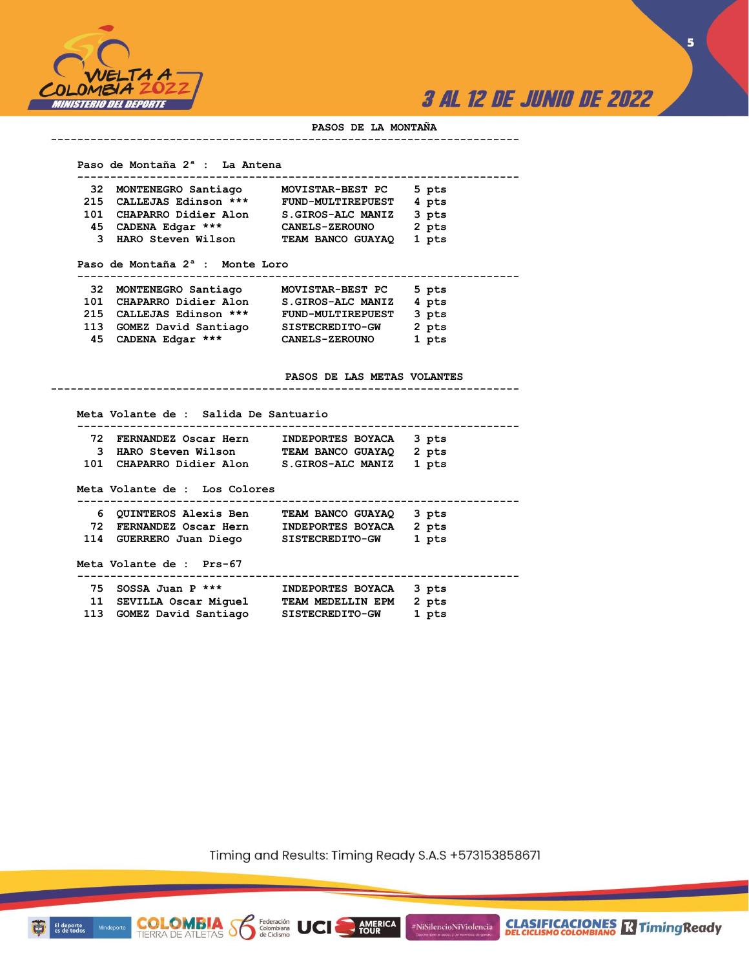

**CLASIFICACIONES R** Timing Ready

**5**

#### **PASOS DE LA MONTAÑA**

**-----------------------------------------------------------------------**

#### **Paso de Montaña 2ª : La Antena**

|     | 32 MONTENEGRO Santiago   | MOVISTAR-BEST PC         | 5 pts |
|-----|--------------------------|--------------------------|-------|
|     | 215 CALLEJAS Edinson *** | <b>FUND-MULTIREPUEST</b> | 4 pts |
| 101 | CHAPARRO Didier Alon     | S.GIROS-ALC MANIZ        | 3 pts |
| 45  | CADENA Edgar ***         | <b>CANELS-ZEROUNO</b>    | 2 pts |
|     | 3 HARO Steven Wilson     | TEAM BANCO GUAYAQ        | 1 pts |

#### **Paso de Montaña 2ª : Monte Loro**

**COLOMBIA**<br>TIERRA DE ATLETAS **S** Se Ciclismo

El deporte<br>es de todos

| 32  | MONTENEGRO Santiago  | MOVISTAR-BEST PC         | 5 pts |
|-----|----------------------|--------------------------|-------|
| 101 | CHAPARRO Didier Alon | S.GIROS-ALC MANIZ        | 4 pts |
| 215 | CALLEJAS Edinson *** | <b>FUND-MULTIREPUEST</b> | 3 pts |
| 113 | GOMEZ David Santiago | SISTECREDITO-GW          | 2 pts |
| 45  | CADENA Edgar ***     | <b>CANELS-ZEROUNO</b>    | 1 pts |

#### **PASOS DE LAS METAS VOLANTES**

|    | Meta Volante de : Salida De Santuario               |                                 |       |
|----|-----------------------------------------------------|---------------------------------|-------|
| 72 | FERNANDEZ Oscar Hern                                | <b>INDEPORTES BOYACA</b>        | 3 pts |
| 3. |                                                     |                                 | 2 pts |
|    | 101 CHAPARRO Didier Alon S.GIROS-ALC MANIZ          |                                 | 1 pts |
|    | Meta Volante de : Los Colores                       |                                 |       |
|    | <b>6 QUINTEROS Alexis Ben     TEAM BANCO GUAYAQ</b> |                                 | 3 pts |
|    | 72 FERNANDEZ Oscar Hern INDEPORTES BOYACA           |                                 | 2 pts |
|    | 114 GUERRERO Juan Diego SISTECREDITO-GW             |                                 | 1 pts |
|    | Meta Volante de : Prs-67                            | ------------------------------- |       |
|    | 75 SOSSA Juan P ***                                 | INDEPORTES BOYACA               | 3 pts |
|    | 11 SEVILLA Oscar Miquel TEAM MEDELLIN EPM           |                                 | 2 pts |
|    | 113 GOMEZ David Santiago SISTECREDITO-GW            |                                 | 1 pts |

**-----------------------------------------------------------------------**

Timing and Results: Timing Ready S.A.S +573153858671

AMERICA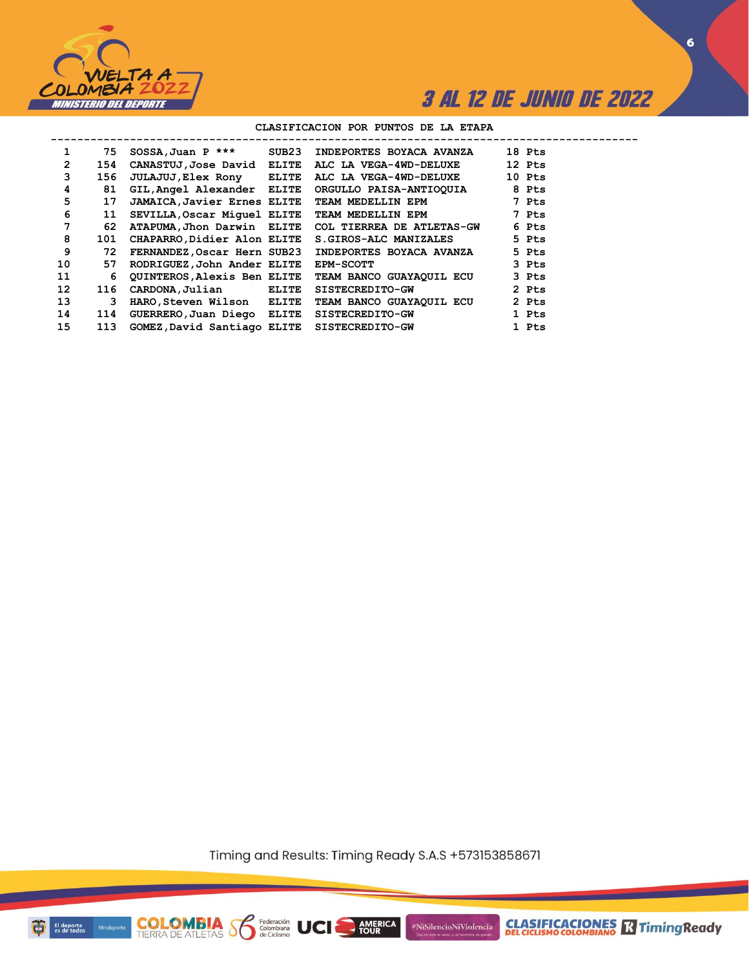

**6**

### **CLASIFICACION POR PUNTOS DE LA ETAPA**

| 1               | 75  | $SOSSA$ , Juan P ***                        | SUB23 | INDEPORTES BOYACA AVANZA  | 18 Pts |
|-----------------|-----|---------------------------------------------|-------|---------------------------|--------|
| $\overline{2}$  | 154 | CANASTUJ, Jose David ELITE                  |       | ALC LA VEGA-4WD-DELUXE    | 12 Pts |
| 3               | 156 | <b>JULAJUJ, Elex Rony ELITE</b>             |       | ALC LA VEGA-4WD-DELUXE    | 10 Pts |
| 4               | 81  | GIL, Angel Alexander ELITE                  |       | ORGULLO PAISA-ANTIOQUIA   | 8 Pts  |
| 5               | 17  | <b>JAMAICA, Javier Ernes ELITE</b>          |       | TEAM MEDELLIN EPM         | 7 Pts  |
| 6               | 11  | SEVILLA, Oscar Miquel ELITE                 |       | TEAM MEDELLIN EPM         | 7 Pts  |
| 7               | 62  | ATAPUMA, Jhon Darwin ELITE                  |       | COL TIERREA DE ATLETAS-GW | 6 Pts  |
| 8               | 101 | CHAPARRO, Didier Alon ELITE                 |       | S.GIROS-ALC MANIZALES     | 5 Pts  |
| 9               | 72  | FERNANDEZ, Oscar Hern SUB23                 |       | INDEPORTES BOYACA AVANZA  | 5 Pts  |
| 10              | 57  | RODRIGUEZ, John Ander ELITE                 |       | <b>EPM-SCOTT</b>          | 3 Pts  |
| 11              | 6   | <b>QUINTEROS, Alexis Ben ELITE</b>          |       | TEAM BANCO GUAYAQUIL ECU  | 3 Pts  |
| 12 <sup>2</sup> | 116 | CARDONA, Julian                             | ELITE | <b>SISTECREDITO-GW</b>    | 2 Pts  |
| 13              | 3   | HARO, Steven Wilson ELITE                   |       | TEAM BANCO GUAYAQUIL ECU  | 2 Pts  |
| 14              | 114 | GUERRERO, Juan Diego ELITE                  |       | <b>SISTECREDITO-GW</b>    | 1 Pts  |
| 15              | 113 | GOMEZ, David Santiago ELITE SISTECREDITO-GW |       |                           | 1 Pts  |

Timing and Results: Timing Ready S.A.S +573153858671

AMERICA

UCI

#NiSilencioNiViolencia



**COLOMBIA**<br>TIERRA DE ATLETAS **S** a Ciclismo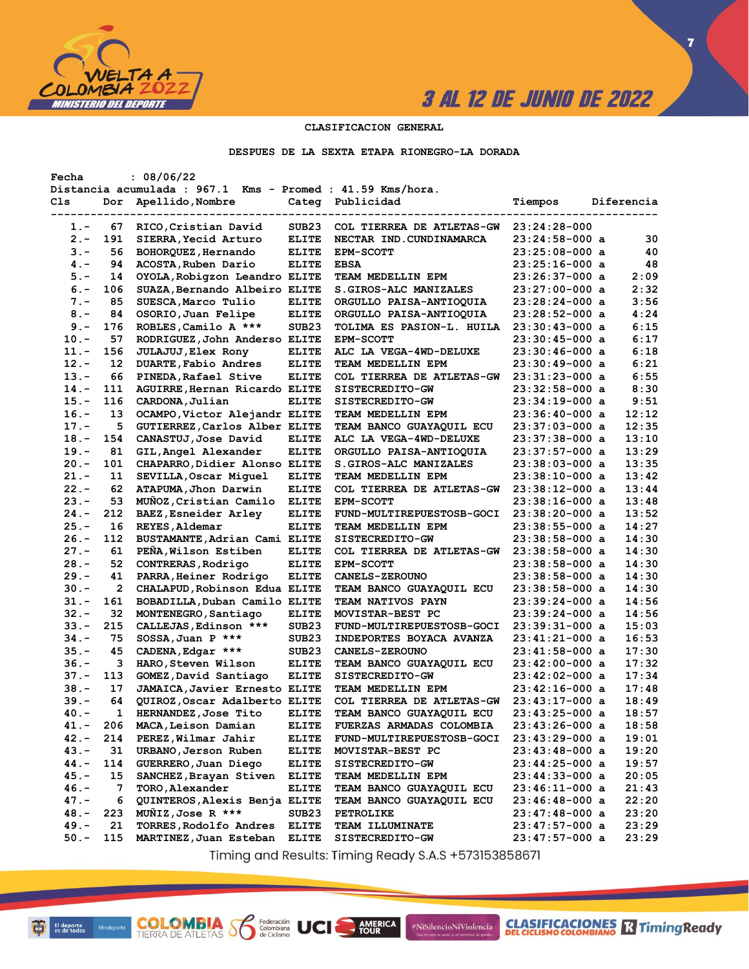

**7**

### **CLASIFICACION GENERAL**

**DESPUES DE LA SEXTA ETAPA RIONEGRO-LA DORADA**

| Fecha   |     | : 08/06/22                                                 |                   |                                 |                  |            |
|---------|-----|------------------------------------------------------------|-------------------|---------------------------------|------------------|------------|
|         |     | Distancia acumulada : 967.1 Kms - Promed : 41.59 Kms/hora. |                   |                                 |                  |            |
| Cls     | Dor | Apellido, Nombre                                           |                   | Categ Publicidad                | Tiempos          | Diferencia |
|         |     |                                                            |                   |                                 |                  |            |
| 1.-     | 67  | RICO, Cristian David                                       | SUB <sub>23</sub> | COL TIERREA DE ATLETAS-GW       | $23:24:28-000$   |            |
| $2 -$   | 191 | SIERRA, Yecid Arturo                                       | <b>ELITE</b>      | NECTAR IND. CUNDINAMARCA        | 23:24:58-000 a   | 30         |
| $3 -$   | 56  | BOHORQUEZ, Hernando                                        | <b>ELITE</b>      | <b>EPM-SCOTT</b>                | $23:25:08-000$ a | 40         |
| $4 -$   | 94  | ACOSTA, Ruben Dario                                        | <b>ELITE</b>      | <b>EBSA</b>                     | 23:25:16-000 a   | 48         |
| $5. -$  | 14  | OYOLA, Robigzon Leandro ELITE                              |                   | TEAM MEDELLIN EPM               | 23:26:37-000 a   | 2:09       |
| $6 -$   | 106 | SUAZA, Bernando Albeiro ELITE                              |                   | S.GIROS-ALC MANIZALES           | 23:27:00-000 a   | 2:32       |
| $7 -$   | 85  | SUESCA, Marco Tulio                                        | <b>ELITE</b>      | ORGULLO PAISA-ANTIOQUIA         | 23:28:24-000 a   | 3:56       |
| $8 -$   | 84  | OSORIO, Juan Felipe                                        | <b>ELITE</b>      | ORGULLO PAISA-ANTIOQUIA         | 23:28:52-000 a   | 4:24       |
| $9 -$   | 176 | ROBLES, Camilo A ***                                       | SUB <sub>23</sub> | TOLIMA ES PASION-L. HUILA       | 23:30:43-000 a   | 6:15       |
| $10. -$ | 57  | RODRIGUEZ, John Anderso ELITE                              |                   | <b>EPM-SCOTT</b>                | $23:30:45-000$ a | 6:17       |
| $11. -$ | 156 | <b>JULAJUJ, Elex Rony</b>                                  | <b>ELITE</b>      | ALC LA VEGA-4WD-DELUXE          | 23:30:46-000 a   | 6:18       |
| $12. -$ | 12  |                                                            |                   |                                 |                  | 6:21       |
|         |     | DUARTE, Fabio Andres                                       | <b>ELITE</b>      | <b>TEAM MEDELLIN EPM</b>        | 23:30:49-000 a   |            |
| $13 -$  | 66  | PINEDA, Rafael Stive                                       | <b>ELITE</b>      | COL TIERREA DE ATLETAS-GW       | 23:31:23-000 a   | 6:55       |
| $14. -$ | 111 | AGUIRRE, Hernan Ricardo ELITE                              |                   | <b>SISTECREDITO-GW</b>          | 23:32:58-000 a   | 8:30       |
| $15. -$ | 116 | CARDONA, Julian                                            | <b>ELITE</b>      | SISTECREDITO-GW                 | 23:34:19-000 a   | 9:51       |
| $16. -$ | 13  | OCAMPO, Victor Alejandr ELITE                              |                   | TEAM MEDELLIN EPM               | $23:36:40-000$ a | 12:12      |
| $17. -$ | 5   | GUTIERREZ, Carlos Alber ELITE                              |                   | TEAM BANCO GUAYAQUIL ECU        | 23:37:03-000 a   | 12:35      |
| $18. -$ | 154 | CANASTUJ, Jose David                                       | <b>ELITE</b>      | ALC LA VEGA-4WD-DELUXE          | 23:37:38-000 a   | 13:10      |
| $19. -$ | 81  | GIL, Angel Alexander                                       | <b>ELITE</b>      | ORGULLO PAISA-ANTIOQUIA         | 23:37:57-000 a   | 13:29      |
| $20 -$  | 101 | CHAPARRO, Didier Alonso ELITE                              |                   | S.GIROS-ALC MANIZALES           | 23:38:03-000 a   | 13:35      |
| $21 -$  | 11  | SEVILLA, Oscar Miquel                                      | <b>ELITE</b>      | <b>TEAM MEDELLIN EPM</b>        | $23:38:10-000$ a | 13:42      |
| $22 -$  | 62  | ATAPUMA, Jhon Darwin                                       | <b>ELITE</b>      | COL TIERREA DE ATLETAS-GW       | 23:38:12-000 a   | 13:44      |
| $23 -$  | 53  | MUÑOZ, Cristian Camilo                                     | <b>ELITE</b>      | <b>EPM-SCOTT</b>                | 23:38:16-000 a   | 13:48      |
| $24. -$ | 212 | <b>BAEZ, Esneider Arley</b>                                | <b>ELITE</b>      | FUND-MULTIREPUESTOSB-GOCI       | 23:38:20-000 a   | 13:52      |
| $25. -$ | 16  | REYES, Aldemar                                             | <b>ELITE</b>      | TEAM MEDELLIN EPM               | $23:38:55-000$ a | 14:27      |
| $26. -$ | 112 | BUSTAMANTE, Adrian Cami ELITE                              |                   | SISTECREDITO-GW                 | $23:38:58-000$ a | 14:30      |
| $27. -$ | 61  | PEÑA, Wilson Estiben                                       | <b>ELITE</b>      | COL TIERREA DE ATLETAS-GW       | 23:38:58-000 a   | 14:30      |
| $28. -$ | 52  | CONTRERAS, Rodrigo                                         | <b>ELITE</b>      | <b>EPM-SCOTT</b>                | 23:38:58-000 a   | 14:30      |
| $29. -$ | 41  | PARRA, Heiner Rodrigo                                      | <b>ELITE</b>      | <b>CANELS-ZEROUNO</b>           | 23:38:58-000 a   | 14:30      |
| $30 -$  | 2   | CHALAPUD, Robinson Edua ELITE                              |                   | TEAM BANCO GUAYAQUIL ECU        | $23:38:58-000$ a | 14:30      |
| $31 -$  | 161 | BOBADILLA, Duban Camilo ELITE                              |                   | <b>TEAM NATIVOS PAYN</b>        | 23:39:24-000 a   | 14:56      |
| $32 -$  | 32  | MONTENEGRO, Santiago                                       | <b>ELITE</b>      | MOVISTAR-BEST PC                | 23:39:24-000 a   | 14:56      |
| $33 -$  | 215 | CALLEJAS, Edinson ***                                      | SUB <sub>23</sub> | FUND-MULTIREPUESTOSB-GOCI       | 23:39:31-000 a   | 15:03      |
| $34. -$ | 75  | $SOSSA$ , Juan P ***                                       | SUB <sub>23</sub> | <b>INDEPORTES BOYACA AVANZA</b> | 23:41:21-000 a   | 16:53      |
| $35 -$  | 45  | CADENA, Edgar ***                                          | SUB <sub>23</sub> | <b>CANELS-ZEROUNO</b>           | 23:41:58-000 a   | 17:30      |
| 36.-    | 3   | HARO, Steven Wilson                                        | <b>ELITE</b>      |                                 | 23:42:00-000 a   | 17:32      |
|         |     |                                                            |                   | <b>TEAM BANCO GUAYAQUIL ECU</b> |                  | 17:34      |
| $37 -$  | 113 | GOMEZ, David Santiago                                      | <b>ELITE</b>      | SISTECREDITO-GW                 | 23:42:02-000 a   |            |
| $38 -$  | 17  | <b>JAMAICA, Javier Ernesto ELITE</b>                       |                   | TEAM MEDELLIN EPM               | 23:42:16-000 a   | 17:48      |
| $39. -$ | 64  | QUIROZ, Oscar Adalberto ELITE                              |                   | COL TIERREA DE ATLETAS-GW       | $23:43:17-000$ a | 18:49      |
| 40.-    | 1   | HERNANDEZ, Jose Tito                                       | <b>ELITE</b>      | TEAM BANCO GUAYAQUIL ECU        | 23:43:25-000 a   | 18:57      |
| 41.-    | 206 | MACA, Leison Damian                                        | <b>ELITE</b>      | <b>FUERZAS ARMADAS COLOMBIA</b> | 23:43:26-000 a   | 18:58      |
| $42 -$  | 214 | PEREZ, Wilmar Jahir                                        | <b>ELITE</b>      | FUND-MULTIREPUESTOSB-GOCI       | 23:43:29-000 a   | 19:01      |
| $43 -$  | 31  | URBANO, Jerson Ruben                                       | <b>ELITE</b>      | MOVISTAR-BEST PC                | 23:43:48-000 a   | 19:20      |
| 44.-    | 114 | GUERRERO, Juan Diego                                       | <b>ELITE</b>      | SISTECREDITO-GW                 | 23:44:25-000 a   | 19:57      |
| 45.-    | 15  | SANCHEZ, Brayan Stiven                                     | <b>ELITE</b>      | TEAM MEDELLIN EPM               | $23:44:33-000$ a | 20:05      |
| $46. -$ | 7   | TORO, Alexander                                            | <b>ELITE</b>      | TEAM BANCO GUAYAQUIL ECU        | 23:46:11-000 a   | 21:43      |
| $47. -$ | 6   | QUINTEROS, Alexis Benja ELITE                              |                   | TEAM BANCO GUAYAQUIL ECU        | 23:46:48-000 a   | 22:20      |
| 48.-    | 223 | MUÑIZ, Jose R ***                                          | SUB <sub>23</sub> | PETROLIKE                       | $23:47:48-000$ a | 23:20      |
| $49. -$ | 21  | TORRES, Rodolfo Andres                                     | <b>ELITE</b>      | <b>TEAM ILLUMINATE</b>          | $23:47:57-000$ a | 23:29      |
| $50. -$ | 115 | MARTINEZ, Juan Esteban                                     | <b>ELITE</b>      | SISTECREDITO-GW                 | $23:47:57-000$ a | 23:29      |
|         |     |                                                            |                   |                                 |                  |            |

Timing and Results: Timing Ready S.A.S +573153858671

AMERICA

#NiSilencioNiViolencia

**COLOMBIA S6** 

Federación<br>Colombiana<br>de Ciclismo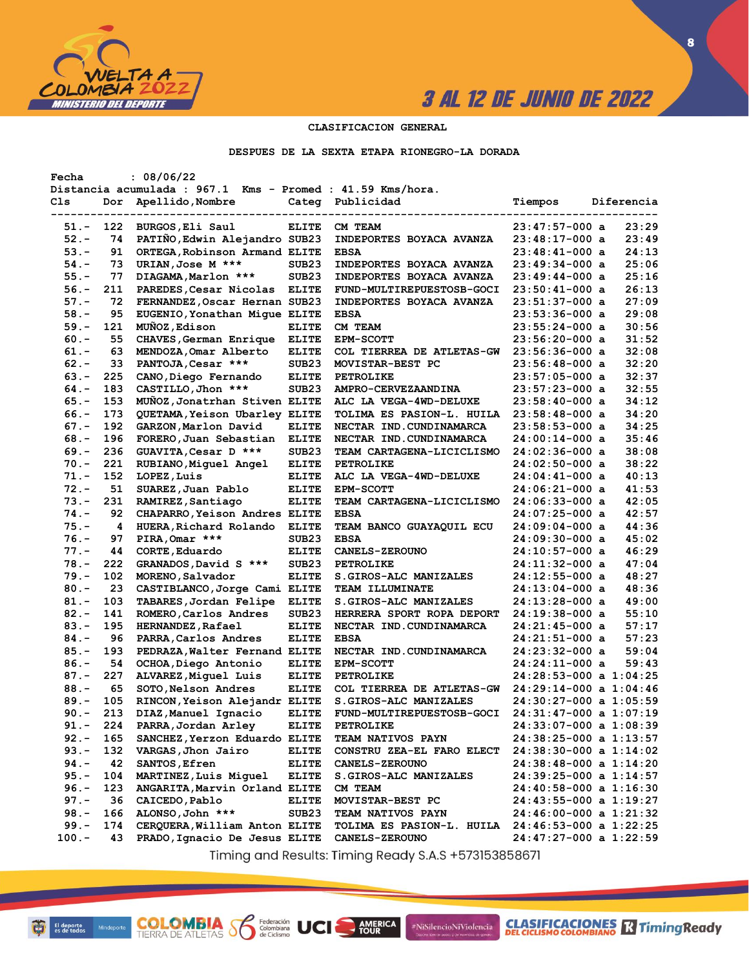

**CLASIFICACIONES** TimingReady

**8**

#### **CLASIFICACION GENERAL**

#### **DESPUES DE LA SEXTA ETAPA RIONEGRO-LA DORADA**

| Fecha    |     | : 08/06/22                                                 |                   |                                                    |                            |            |
|----------|-----|------------------------------------------------------------|-------------------|----------------------------------------------------|----------------------------|------------|
|          |     | Distancia acumulada : 967.1 Kms - Promed : 41.59 Kms/hora. |                   |                                                    |                            |            |
| Cls      | Dor | Apellido, Nombre                                           | Categ             | Publicidad                                         | Tiempos                    | Diferencia |
|          |     |                                                            |                   |                                                    |                            |            |
| 51.-     | 122 | BURGOS, Eli Saul                                           | <b>ELITE</b>      | CM TEAM                                            | $23:47:57-000$ a           | 23:29      |
| $52 -$   | 74  | PATIÑO, Edwin Alejandro SUB23                              |                   | INDEPORTES BOYACA AVANZA                           | 23:48:17-000 a             | 23:49      |
| $53 -$   | 91  | ORTEGA, Robinson Armand ELITE                              |                   | <b>EBSA</b>                                        | $23:48:41-000$ a           | 24:13      |
| $54. -$  | 73  | URIAN, Jose M ***                                          | SUB <sub>23</sub> | INDEPORTES BOYACA AVANZA                           | 23:49:34-000 a             | 25:06      |
| $55. -$  | 77  | DIAGAMA, Marlon ***                                        | SUB <sub>23</sub> | <b>INDEPORTES BOYACA AVANZA</b>                    | 23:49:44-000 a             | 25:16      |
| $56. -$  | 211 | PAREDES, Cesar Nicolas                                     | <b>ELITE</b>      | FUND-MULTIREPUESTOSB-GOCI                          | 23:50:41-000 a             | 26:13      |
| $57. -$  | 72  | FERNANDEZ, Oscar Hernan SUB23                              |                   | <b>INDEPORTES BOYACA AVANZA</b>                    | 23:51:37-000 a             | 27:09      |
| $58. -$  | 95  | EUGENIO, Yonathan Mique ELITE                              |                   | <b>EBSA</b>                                        | 23:53:36-000 a             | 29:08      |
| 59.-     | 121 | MUÑOZ, Edison                                              | <b>ELITE</b>      | CM TEAM                                            | 23:55:24-000 a             | 30:56      |
| $60 -$   | 55  | CHAVES, German Enrique                                     | <b>ELITE</b>      | EPM-SCOTT                                          | 23:56:20-000 a             | 31:52      |
| $61. -$  | 63  | MENDOZA, Omar Alberto                                      | <b>ELITE</b>      | COL TIERREA DE ATLETAS-GW                          | 23:56:36-000 a             | 32:08      |
| $62 -$   | 33  | PANTOJA, Cesar ***                                         | SUB <sub>23</sub> | MOVISTAR-BEST PC                                   | 23:56:48-000 a             | 32:20      |
| $63 -$   | 225 | CANO, Diego Fernando                                       | <b>ELITE</b>      | <b>PETROLIKE</b>                                   | 23:57:05-000 a             | 32:37      |
| $64. -$  | 183 | CASTILLO, Jhon ***                                         | SUB <sub>23</sub> | AMPRO-CERVEZAANDINA                                | 23:57:23-000 a             | 32:55      |
|          |     |                                                            |                   |                                                    |                            |            |
| $65. -$  | 153 | MUNOZ, Jonatrhan Stiven ELITE                              |                   | ALC LA VEGA-4WD-DELUXE                             | $23:58:40-000$ a           | 34:12      |
| $66. -$  | 173 | QUETAMA, Yeison Ubarley ELITE                              |                   | TOLIMA ES PASION-L. HUILA                          | 23:58:48-000 a             | 34:20      |
| $67. -$  | 192 | GARZON, Marlon David                                       | <b>ELITE</b>      | NECTAR IND. CUNDINAMARCA                           | $23:58:53-000$ a           | 34:25      |
| $68 -$   | 196 | FORERO, Juan Sebastian                                     | <b>ELITE</b>      | NECTAR IND. CUNDINAMARCA                           | 24:00:14-000 a             | 35:46      |
| $69. -$  | 236 | GUAVITA, Cesar D ***                                       | SUB <sub>23</sub> | TEAM CARTAGENA-LICICLISMO                          | 24:02:36-000 a             | 38:08      |
| $70. -$  | 221 | RUBIANO, Miguel Angel                                      | <b>ELITE</b>      | <b>PETROLIKE</b>                                   | $24:02:50-000$ a           | 38:22      |
| $71. -$  | 152 | LOPEZ, Luis                                                | <b>ELITE</b>      | ALC LA VEGA-4WD-DELUXE                             | $24:04:41-000$ a           | 40:13      |
| $72 -$   | 51  | SUAREZ, Juan Pablo                                         | <b>ELITE</b>      | <b>EPM-SCOTT</b>                                   | 24:06:21-000 a             | 41:53      |
| $73. -$  | 231 | RAMIREZ, Santiago                                          | <b>ELITE</b>      | TEAM CARTAGENA-LICICLISMO                          | $24:06:33-000$ a           | 42:05      |
| $74. -$  | 92  | CHAPARRO, Yeison Andres ELITE                              |                   | <b>EBSA</b>                                        | 24:07:25-000 a             | 42:57      |
| $75. -$  | 4   | HUERA, Richard Rolando                                     | <b>ELITE</b>      | TEAM BANCO GUAYAQUIL ECU                           | 24:09:04-000 a             | 44:36      |
| $76. -$  | 97  | PIRA, Omar ***                                             | SUB <sub>23</sub> | <b>EBSA</b>                                        | 24:09:30-000 a             | 45:02      |
| $77. -$  | 44  | CORTE, Eduardo                                             | <b>ELITE</b>      | CANELS-ZEROUNO                                     | 24:10:57-000 a             | 46:29      |
| $78. -$  | 222 | GRANADOS, David S ***                                      | SUB <sub>23</sub> | <b>PETROLIKE</b>                                   | 24:11:32-000 a             | 47:04      |
| $79. -$  | 102 | MORENO, Salvador                                           | <b>ELITE</b>      | S.GIROS-ALC MANIZALES                              | 24:12:55-000 a             | 48:27      |
| $80 -$   | 23  | CASTIBLANCO, Jorge Cami ELITE                              |                   | <b>TEAM ILLUMINATE</b>                             | 24:13:04-000 a             | 48:36      |
| $81. -$  | 103 | TABARES, Jordan Felipe                                     | <b>ELITE</b>      | S.GIROS-ALC MANIZALES                              | 24:13:28-000 a             | 49:00      |
| $82 -$   | 141 | ROMERO, Carlos Andres                                      | SUB <sub>23</sub> | HERRERA SPORT ROPA DEPORT                          | 24:19:38-000 a             | 55:10      |
| $83 -$   | 195 | <b>HERNANDEZ, Rafael</b>                                   | <b>ELITE</b>      | NECTAR IND. CUNDINAMARCA                           | 24:21:45-000 a             | 57:17      |
| $84. -$  | 96  | PARRA, Carlos Andres                                       | <b>ELITE</b>      | <b>EBSA</b>                                        | 24:21:51-000 a             | 57:23      |
| $85. -$  | 193 | PEDRAZA, Walter Fernand ELITE                              |                   | NECTAR IND. CUNDINAMARCA                           | 24:23:32-000 a             | 59:04      |
| $86. -$  | 54  | OCHOA, Diego Antonio                                       | <b>ELITE</b>      | <b>EPM-SCOTT</b>                                   | 24:24:11-000 a             | 59:43      |
| $87. -$  | 227 | ALVAREZ, Miguel Luis                                       | <b>ELITE</b>      | PETROLIKE                                          | 24:28:53-000 a 1:04:25     |            |
| $88. -$  | 65  |                                                            | <b>ELITE</b>      |                                                    | 24:29:14-000 a 1:04:46     |            |
|          |     | SOTO, Nelson Andres                                        |                   | COL TIERREA DE ATLETAS-GW<br>S.GIROS-ALC MANIZALES |                            |            |
| $89. -$  | 105 | RINCON, Yeison Alejandr ELITE                              |                   |                                                    | 24:30:27-000 a 1:05:59     |            |
| $90 -$   | 213 | DIAZ, Manuel Ignacio                                       | <b>ELITE</b>      | FUND-MULTIREPUESTOSB-GOCI                          | 24:31:47-000 a 1:07:19     |            |
| 91.-     | 224 | PARRA, Jordan Arley                                        | <b>ELITE</b>      | <b>PETROLIKE</b>                                   | 24:33:07-000 a 1:08:39     |            |
| $92 -$   | 165 | SANCHEZ, Yerzon Eduardo ELITE                              |                   | <b>TEAM NATIVOS PAYN</b>                           | 24:38:25-000 a 1:13:57     |            |
| $93 -$   | 132 | VARGAS, Jhon Jairo                                         | ELITE             | CONSTRU ZEA-EL FARO ELECT                          | $24:38:30-000$ a $1:14:02$ |            |
| $94. -$  | 42  | SANTOS, Efren                                              | <b>ELITE</b>      | <b>CANELS-ZEROUNO</b>                              | 24:38:48-000 a 1:14:20     |            |
| $95. -$  | 104 | MARTINEZ, Luis Miquel                                      | <b>ELITE</b>      | <b>S.GIROS-ALC MANIZALES</b>                       | 24:39:25-000 a 1:14:57     |            |
| $96. -$  | 123 | ANGARITA, Marvin Orland ELITE                              |                   | CM TEAM                                            | 24:40:58-000 a 1:16:30     |            |
| $97. -$  | 36  | CAICEDO, Pablo                                             | <b>ELITE</b>      | MOVISTAR-BEST PC                                   | 24:43:55-000 a 1:19:27     |            |
| $98. -$  | 166 | ALONSO, John ***                                           | SUB <sub>23</sub> | <b>TEAM NATIVOS PAYN</b>                           | $24:46:00-000$ a $1:21:32$ |            |
| $99. -$  | 174 | CERQUERA, William Anton ELITE                              |                   | TOLIMA ES PASION-L. HUILA 24:46:53-000 a 1:22:25   |                            |            |
| $100. -$ | 43  | PRADO, Ignacio De Jesus ELITE                              |                   | <b>CANELS-ZEROUNO</b>                              | 24:47:27-000 a 1:22:59     |            |
|          |     |                                                            |                   |                                                    |                            |            |

Timing and Results: Timing Ready S.A.S +573153858671

**AMERICA** 

#NiSilencioNiViolencia

**COLOMBIA S6** 

Federación<br>Colombiana<br>de Ciclismo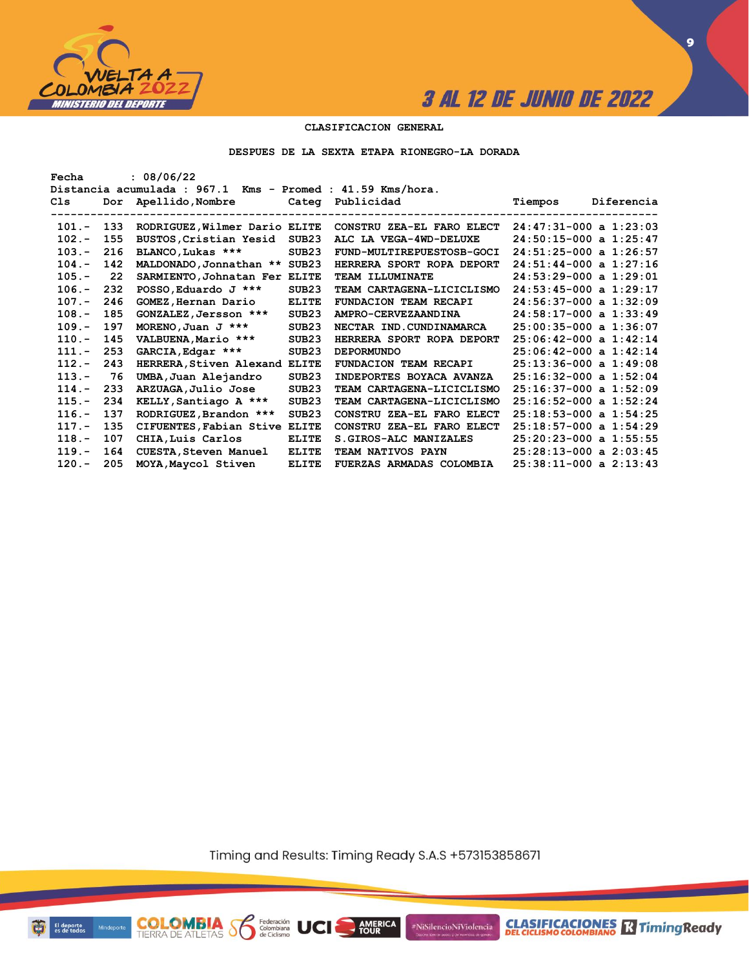

**9**

### **CLASIFICACION GENERAL**

**DESPUES DE LA SEXTA ETAPA RIONEGRO-LA DORADA**

| Fecha    |       | : 08/06/22                                                                    |                   |                              |                            |            |
|----------|-------|-------------------------------------------------------------------------------|-------------------|------------------------------|----------------------------|------------|
| Cls      | Dor   | Distancia acumulada : 967.1 Kms - Promed : 41.59 Kms/hora.<br>Apellido,Nombre |                   | Categ Publicidad             | Tiempos                    | Diferencia |
| $101 -$  | - 133 | RODRIGUEZ, Wilmer Dario ELITE                                                 |                   | CONSTRU ZEA-EL FARO ELECT    | $24:47:31-000$ a $1:23:03$ |            |
| $102 -$  | 155   | BUSTOS, Cristian Yesid                                                        | SUB <sub>23</sub> | ALC LA VEGA-4WD-DELUXE       | $24:50:15-000$ a $1:25:47$ |            |
| $103 -$  | 216   | BLANCO, Lukas ***                                                             | SUB23             | FUND-MULTIREPUESTOSB-GOCI    | $24:51:25-000$ a $1:26:57$ |            |
| $104. -$ | 142   | MALDONADO, Jonnathan ** SUB23                                                 |                   | HERRERA SPORT ROPA DEPORT    | $24:51:44-000$ a $1:27:16$ |            |
| $105. -$ | 22    | SARMIENTO, Johnatan Fer ELITE                                                 |                   | TEAM ILLUMINATE              | $24:53:29-000$ a $1:29:01$ |            |
| $106. -$ | 232   | POSSO, Eduardo J ***                                                          | SUB <sub>23</sub> | TEAM CARTAGENA-LICICLISMO    | $24:53:45-000$ a $1:29:17$ |            |
| $107. -$ | 246   | GOMEZ, Hernan Dario                                                           | <b>ELITE</b>      | FUNDACION TEAM RECAPI        | $24:56:37-000$ a $1:32:09$ |            |
| $108. -$ | 185   | GONZALEZ, Jersson ***                                                         | SUB <sub>23</sub> | AMPRO-CERVEZAANDINA          | $24:58:17-000$ a $1:33:49$ |            |
| $109. -$ | 197   | MORENO, Juan J $***$                                                          | SUB <sub>23</sub> | NECTAR IND.CUNDINAMARCA      | $25:00:35-000$ a $1:36:07$ |            |
| $110 -$  | 145   | VALBUENA, Mario ***                                                           | SUB <sub>23</sub> | HERRERA SPORT ROPA DEPORT    | $25:06:42-000$ a $1:42:14$ |            |
| $111. -$ | 253   | GARCIA, Edgar ***                                                             | SUB <sub>23</sub> | <b>DEPORMUNDO</b>            | $25:06:42-000$ a $1:42:14$ |            |
| $112 -$  | 243   | HERRERA, Stiven Alexand ELITE                                                 |                   | <b>FUNDACION TEAM RECAPI</b> | $25:13:36-000$ a $1:49:08$ |            |
| $113 -$  | 76    | UMBA, Juan Alejandro                                                          | SUB <sub>23</sub> | INDEPORTES BOYACA AVANZA     | $25:16:32-000$ a $1:52:04$ |            |
| $114. -$ | 233   | ARZUAGA, Julio Jose                                                           | SUB <sub>23</sub> | TEAM CARTAGENA-LICICLISMO    | $25:16:37-000$ a $1:52:09$ |            |
| $115. -$ | 234   | KELLY, Santiago A ***                                                         | SUB <sub>23</sub> | TEAM CARTAGENA-LICICLISMO    | $25:16:52-000$ a $1:52:24$ |            |
| $116. -$ | 137   | RODRIGUEZ, Brandon ***                                                        | SUB23             | CONSTRU ZEA-EL FARO ELECT    | $25:18:53-000$ a $1:54:25$ |            |
| $117. -$ | 135   | CIFUENTES, Fabian Stive                                                       | <b>ELITE</b>      | CONSTRU ZEA-EL FARO ELECT    | $25:18:57-000$ a $1:54:29$ |            |
| $118 -$  | 107   | CHIA, Luis Carlos                                                             | <b>ELITE</b>      | S. GIROS-ALC MANIZALES       | $25:20:23-000$ a $1:55:55$ |            |
| $119. -$ | 164   | CUESTA, Steven Manuel                                                         | <b>ELITE</b>      | TEAM NATIVOS PAYN            | $25:28:13-000$ a $2:03:45$ |            |
| $120 -$  | 205   | MOYA, Maycol Stiven                                                           | <b>ELITE</b>      | FUERZAS ARMADAS COLOMBIA     | $25:38:11-000$ a $2:13:43$ |            |

Timing and Results: Timing Ready S.A.S +573153858671

**AMERICA** 

UCI

#NiSilencioNiViolencia



**COLOMBIA** Solenbiana<br>TIERRA DE ATLETAS Solenbiana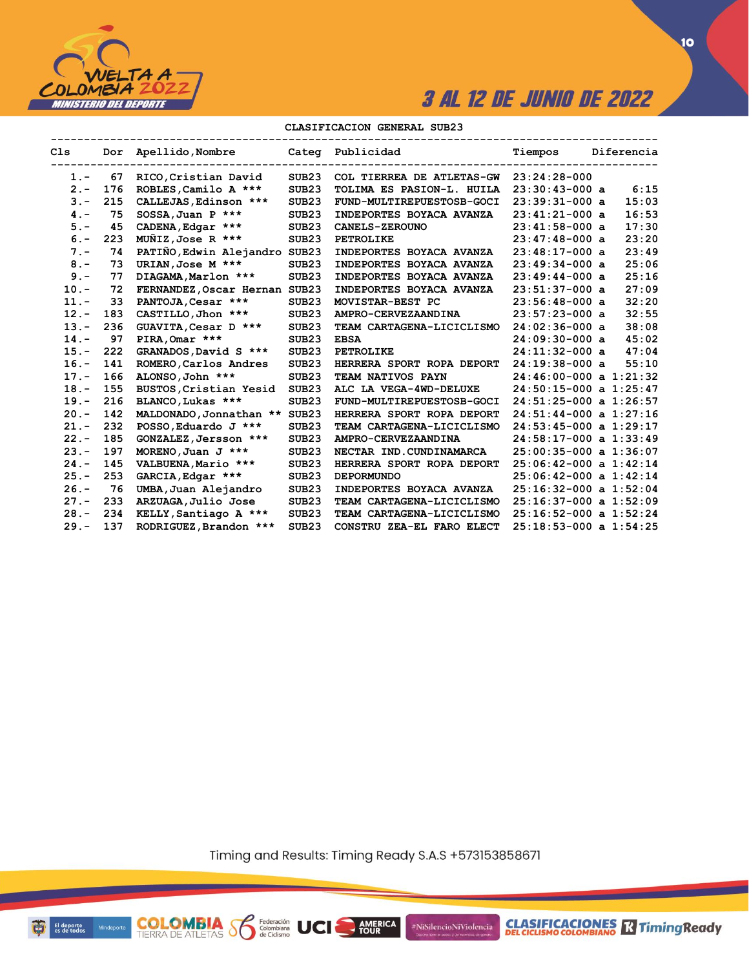

### **CLASIFICACION GENERAL SUB23**

| Cls     |     | Dor Apellido, Nombre           |                   | Categ Publicidad          | Tiempos                    | Diferencia |
|---------|-----|--------------------------------|-------------------|---------------------------|----------------------------|------------|
| $1. -$  | 67  | RICO, Cristian David           | SUB23             | COL TIERREA DE ATLETAS-GW | $23:24:28-000$             |            |
| $2 -$   | 176 | ROBLES, Camilo A ***           | SUB <sub>23</sub> | TOLIMA ES PASION-L. HUILA | $23:30:43-000$ a           | 6:15       |
| $3 -$   | 215 | CALLEJAS, Edinson ***          | SUB <sub>23</sub> | FUND-MULTIREPUESTOSB-GOCI | $23:39:31-000$ a           | 15:03      |
| $4 -$   | 75  | SOSSA, Juan P ***              | SUB <sub>23</sub> | INDEPORTES BOYACA AVANZA  | $23:41:21-000$ a           | 16:53      |
| $5. -$  | 45  | CADENA, Edgar ***              | SUB <sub>23</sub> | <b>CANELS-ZEROUNO</b>     | $23:41:58-000$ a           | 17:30      |
| $6. -$  | 223 | $M\overline{M}IZ$ , Jose R *** | SUB <sub>23</sub> | PETROLIKE                 | $23:47:48-000$ a           | 23:20      |
| $7 -$   | 74  | PATIÑO, Edwin Alejandro SUB23  |                   | INDEPORTES BOYACA AVANZA  | $23:48:17-000$ a           | 23:49      |
| $8 -$   | 73  | URIAN, Jose M ***              | SUB <sub>23</sub> | INDEPORTES BOYACA AVANZA  | $23:49:34-000a$            | 25:06      |
| $9 -$   | 77  | DIAGAMA, Marlon ***            | SUB <sub>23</sub> | INDEPORTES BOYACA AVANZA  | $23:49:44-000$ a           | 25:16      |
| $10. -$ | 72  | FERNANDEZ, Oscar Hernan SUB23  |                   | INDEPORTES BOYACA AVANZA  | $23:51:37-000$ a           | 27:09      |
| $11. -$ | 33  | PANTOJA, Cesar ***             | SUB <sub>23</sub> | MOVISTAR-BEST PC          | $23:56:48-000$ a           | 32:20      |
| $12 -$  | 183 | CASTILLO, Jhon ***             | SUB <sub>23</sub> | AMPRO-CERVEZAANDINA       | $23:57:23-000$ a           | 32:55      |
| $13 -$  | 236 | GUAVITA, Cesar D ***           | SUB <sub>23</sub> | TEAM CARTAGENA-LICICLISMO | $24:02:36-000$ a           | 38:08      |
| $14. -$ | 97  | PIRA, Omar ***                 | SUB <sub>23</sub> | <b>EBSA</b>               | $24:09:30-000$ a           | 45:02      |
| $15. -$ | 222 | GRANADOS, David S ***          | SUB <sub>23</sub> | <b>PETROLIKE</b>          | $24:11:32-000$ a           | 47:04      |
| $16. -$ | 141 | ROMERO, Carlos Andres          | SUB <sub>23</sub> | HERRERA SPORT ROPA DEPORT | $24:19:38-000$ a           | 55:10      |
| $17 -$  | 166 | ALONSO, John ***               | SUB <sub>23</sub> | TEAM NATIVOS PAYN         | $24:46:00-000$ a $1:21:32$ |            |
| $18. -$ | 155 | BUSTOS, Cristian Yesid         | SUB <sub>23</sub> | ALC LA VEGA-4WD-DELUXE    | $24:50:15-000$ a $1:25:47$ |            |
| $19. -$ | 216 | BLANCO, Lukas ***              | SUB <sub>23</sub> | FUND-MULTIREPUESTOSB-GOCI | $24:51:25-000$ a $1:26:57$ |            |
| $20 -$  | 142 | MALDONADO, Jonnathan ** SUB23  |                   | HERRERA SPORT ROPA DEPORT | $24:51:44-000$ a $1:27:16$ |            |
| $21 -$  | 232 | POSSO, Eduardo J ***           | SUB <sub>23</sub> | TEAM CARTAGENA-LICICLISMO | $24:53:45-000$ a $1:29:17$ |            |
| $22 -$  | 185 | GONZALEZ, Jersson ***          | SUB <sub>23</sub> | AMPRO-CERVEZAANDINA       | $24:58:17-000$ a $1:33:49$ |            |
| $23 -$  | 197 | MORENO, Juan J ***             | SUB <sub>23</sub> | NECTAR IND. CUNDINAMARCA  | $25:00:35-000$ a $1:36:07$ |            |
| $24. -$ | 145 | VALBUENA, Mario ***            | SUB <sub>23</sub> | HERRERA SPORT ROPA DEPORT | $25:06:42-000$ a $1:42:14$ |            |
| $25. -$ | 253 | GARCIA, Edgar ***              | SUB <sub>23</sub> | <b>DEPORMUNDO</b>         | $25:06:42-000$ a $1:42:14$ |            |
| $26. -$ | 76  | UMBA, Juan Alejandro           | SUB <sub>23</sub> | INDEPORTES BOYACA AVANZA  | $25:16:32-000$ a $1:52:04$ |            |
| $27 -$  | 233 | ARZUAGA, Julio Jose            | SUB <sub>23</sub> | TEAM CARTAGENA-LICICLISMO | $25:16:37-000$ a $1:52:09$ |            |
| $28 -$  | 234 | KELLY, Santiago A ***          | SUB <sub>23</sub> | TEAM CARTAGENA-LICICLISMO | $25:16:52-000$ a $1:52:24$ |            |
| $29. -$ | 137 | RODRIGUEZ, Brandon ***         | SUB <sub>23</sub> | CONSTRU ZEA-EL FARO ELECT | $25:18:53-000$ a $1:54:25$ |            |

Timing and Results: Timing Ready S.A.S +573153858671

AMERICA

#NiSilencioNiViolencia



**COLOMBIA SP** 

Federación<br>Colombiana<br>de Ciclismo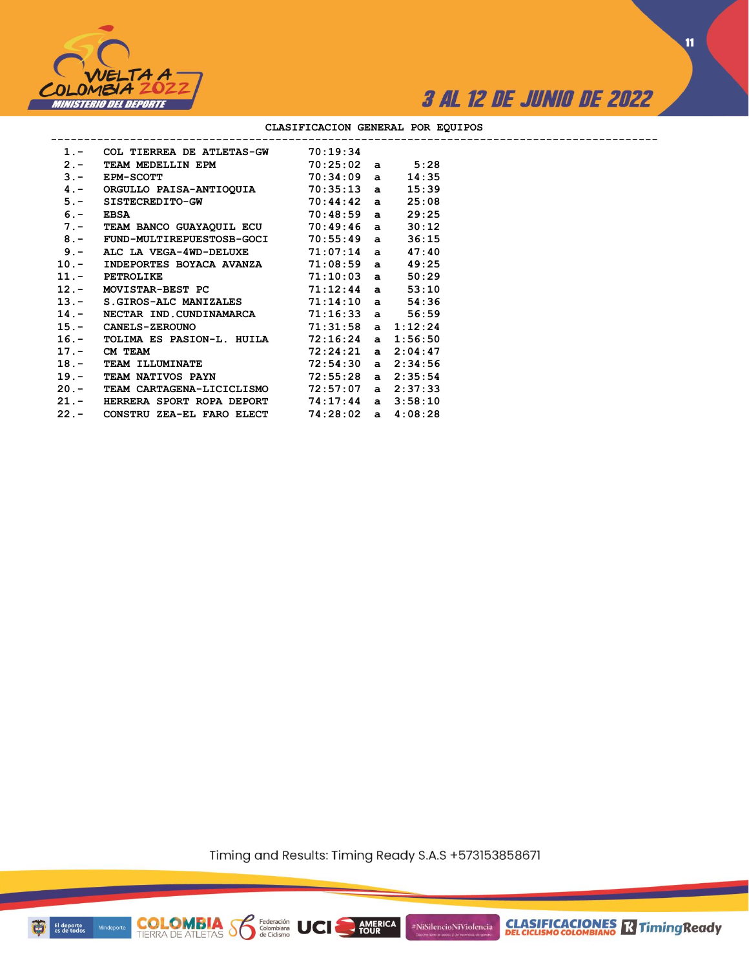



**11**

|       | 1.- COL TIERREA DE ATLETAS-GW 70:19:34                |  |       |  |
|-------|-------------------------------------------------------|--|-------|--|
| $2 -$ | TEAM MEDELLIN EPM 70:25:02 a 5:28                     |  |       |  |
| $3 -$ | $70:34:09$ a<br><b>EPM-SCOTT</b>                      |  | 14:35 |  |
|       | 4.- ORGULLO PAISA-ANTIOQUIA 70:35:13 a                |  | 15:39 |  |
|       | 5.- SISTECREDITO-GW 70:44:42 a                        |  | 25:08 |  |
|       | $70:48:59$ a<br>$6. -$ EBSA                           |  | 29:25 |  |
|       | 7.- TEAM BANCO GUAYAQUIL ECU 70:49:46 a               |  | 30:12 |  |
|       | 8.- FUND-MULTIREPUESTOSB-GOCI 70:55:49 a              |  | 36:15 |  |
|       | 9.- ALC LA VEGA-4WD-DELUXE $71:07:14$ a               |  | 47:40 |  |
|       | 10.- INDEPORTES BOYACA AVANZA 71:08:59 a              |  | 49:25 |  |
|       | $71:10:03$ a<br>11.- PETROLIKE                        |  | 50:29 |  |
|       | $12.-$ MOVISTAR-BEST PC $71:12:44$ a                  |  | 53:10 |  |
|       | 13.- S.GIROS-ALC MANIZALES 71:14:10 a                 |  | 54:36 |  |
|       | 14.- NECTAR IND. CUNDINAMARCA 71:16:33 a 56:59        |  |       |  |
|       | 15. CANELS-ZEROUNO 71:31:58 a 1:12:24                 |  |       |  |
|       | 16.- TOLIMA ES PASION-L. HUILA 72:16:24 a 1:56:50     |  |       |  |
|       | $72:24:21$ a $2:04:47$<br>17. – CM TEAM               |  |       |  |
|       | 18.- TEAM ILLUMINATE 72:54:30 a 2:34:56               |  |       |  |
|       | 19.- TEAM NATIVOS PAYN 72:55:28 a 2:35:54             |  |       |  |
|       | 20.- TEAM CARTAGENA-LICICLISMO 72:57:07 a 2:37:33     |  |       |  |
|       | 21.- HERRERA SPORT ROPA DEPORT 74:17:44 a 3:58:10     |  |       |  |
|       | 22.- CONSTRU ZEA-EL FARO ELECT $74:28:02$ a $4:08:28$ |  |       |  |

### **CLASIFICACION GENERAL POR EQUIPOS**

Timing and Results: Timing Ready S.A.S +573153858671

**AMERICA**<br>TOUR

UCI

#NiSilencioNiViolencia



**COLOMBIA**<br>TIERRA DE ATLETAS **S** a Ciclismo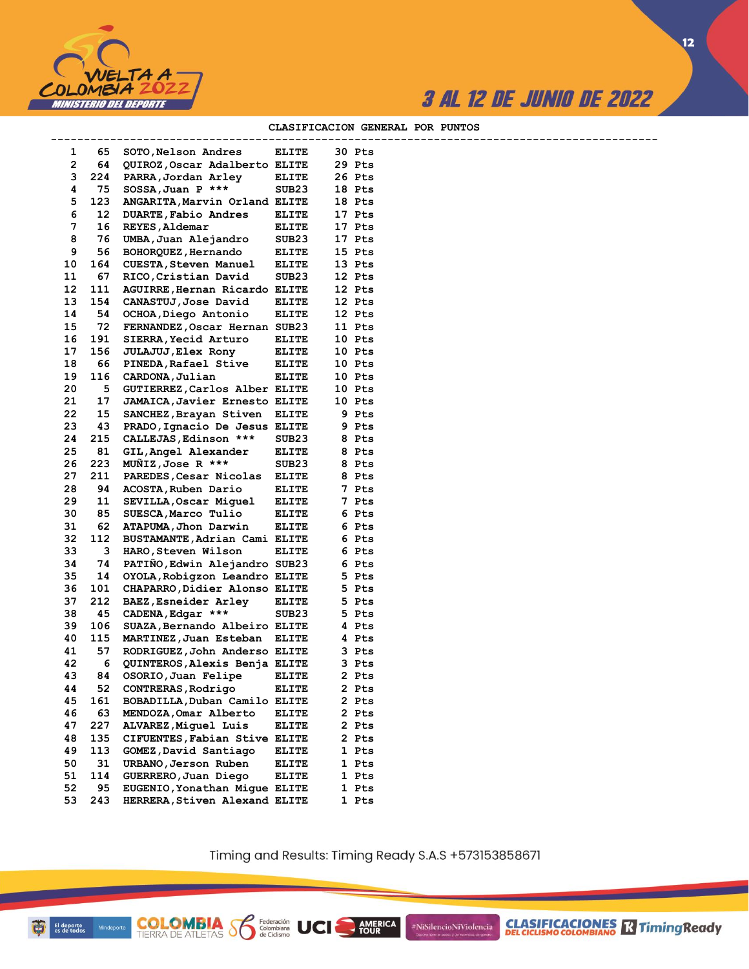



#### CLASIFICACION GENERAL POR PUNTOS

--------

| 1                       | 65  | SOTO, Nelson Andres                  | <b>ELITE</b>      | 30 Pts              |
|-------------------------|-----|--------------------------------------|-------------------|---------------------|
| $\overline{\mathbf{c}}$ | 64  | QUIROZ, Oscar Adalberto ELITE        |                   | 29 Pts              |
| 3                       | 224 | PARRA, Jordan Arley                  | <b>ELITE</b>      | 26 Pts              |
| 4                       | 75  | SOSSA, Juan P ***                    | SUB23             | 18<br>Pts           |
| 5                       | 123 | ANGARITA, Marvin Orland ELITE        |                   | 18 Pts              |
| 6                       | 12  | DUARTE, Fabio Andres                 | ELITE             | 17 Pts              |
| 7                       | 16  | REYES, Aldemar                       | <b>ELITE</b>      | 17<br>Pts           |
| 8                       | 76  | UMBA, Juan Alejandro                 | SUB23             | 17<br>Pts           |
| 9                       | 56  | BOHORQUEZ, Hernando                  | ELITE             | 15 Pts              |
| 10                      | 164 | <b>CUESTA, Steven Manuel</b>         | <b>ELITE</b>      | 13 Pts              |
| 11                      | 67  | RICO, Cristian David                 | SUB23             | 12 Pts              |
| 12                      | 111 | AGUIRRE, Hernan Ricardo ELITE        |                   | 12 Pts              |
| 13                      | 154 | CANASTUJ, Jose David                 | <b>ELITE</b>      | 12 Pts              |
| 14                      | 54  | OCHOA, Diego Antonio                 | <b>ELITE</b>      | 12 Pts              |
| 15                      | 72  | FERNANDEZ, Oscar Hernan SUB23        |                   | 11 Pts              |
| 16                      | 191 | SIERRA, Yecid Arturo                 | ELITE             | 10 Pts              |
| 17                      | 156 | <b>JULAJUJ</b> , Elex Rony           | <b>ELITE</b>      | 10 Pts              |
| 18                      | 66  | PINEDA, Rafael Stive                 | <b>ELITE</b>      | 10 Pts              |
| 19                      | 116 | CARDONA, Julian                      | ELITE             | 10 Pts              |
| 20                      | 5   | GUTIERREZ, Carlos Alber ELITE        |                   | 10 Pts              |
| 21                      | 17  | <b>JAMAICA, Javier Ernesto ELITE</b> |                   | 10<br>Pts           |
| 22                      | 15  | SANCHEZ, Brayan Stiven               |                   | 9 Pts               |
| 23                      | 43  | PRADO, Ignacio De Jesus ELITE        | <b>ELITE</b>      | 9 Pts               |
| 24                      | 215 | CALLEJAS, Edinson ***                | SUB23             | 8<br>Pts            |
|                         | 81  |                                      |                   | 8 Pts               |
| 25                      |     | GIL, Angel Alexander                 | <b>ELITE</b>      |                     |
| 26                      | 223 | MUÑIZ, Jose R ***                    | SUB <sub>23</sub> | 8 Pts               |
| 27                      | 211 | PAREDES, Cesar Nicolas               | <b>ELITE</b>      | 8 Pts               |
| 28                      | 94  | ACOSTA, Ruben Dario                  | <b>ELITE</b>      | 7 Pts               |
| 29                      | 11  | SEVILLA, Oscar Miguel                | ELITE             | 7 Pts               |
| 30                      | 85  | SUESCA, Marco Tulio                  | <b>ELITE</b>      | 6 Pts               |
| 31                      | 62  | ATAPUMA, Jhon Darwin                 | ELITE             | 6 Pts               |
| 32                      | 112 | BUSTAMANTE, Adrian Cami ELITE        |                   | 6 Pts               |
| 33                      | з   | HARO, Steven Wilson                  | <b>ELITE</b>      | 6 Pts               |
| 34                      | 74  | PATIÑO, Edwin Alejandro SUB23        |                   | 6 Pts               |
| 35                      | 14  | OYOLA, Robigzon Leandro ELITE        |                   | 5 Pts               |
| 36                      | 101 | CHAPARRO, Didier Alonso ELITE        |                   | 5 Pts               |
| 37                      | 212 | BAEZ, Esneider Arley                 | <b>ELITE</b>      | 5 Pts               |
| 38                      | 45  | CADENA, Edgar ***                    | SUB <sub>23</sub> | 5 Pts               |
| 39                      | 106 | SUAZA, Bernando Albeiro ELITE        |                   | 4 Pts               |
| 40                      | 115 | MARTINEZ, Juan Esteban               | <b>ELITE</b>      | 4 Pts               |
| 41                      | 57  | RODRIGUEZ, John Anderso ELITE        |                   | Pts<br>3            |
| 42                      | 6   | QUINTEROS, Alexis Benja ELITE        |                   | 3 Pts               |
| 43                      | 84  | OSORIO, Juan Felipe                  | <b>ELITE</b>      | 2 Pts               |
| 44                      | 52  | CONTRERAS, Rodrigo                   | <b>ELITE</b>      | 2 Pts               |
| 45                      | 161 | BOBADILLA, Duban Camilo ELITE        |                   | 2 Pts               |
| 46                      | 63  | MENDOZA, Omar Alberto                | <b>ELITE</b>      | 2 Pts               |
| 47                      | 227 | ALVAREZ, Miquel Luis                 | <b>ELITE</b>      | 2 Pts               |
| 48                      | 135 | CIFUENTES, Fabian Stive ELITE        |                   | 2 Pts               |
| 49                      | 113 | GOMEZ, David Santiago                | <b>ELITE</b>      | 1 Pts               |
| 50                      | 31  | URBANO, Jerson Ruben                 | <b>ELITE</b>      | 1 Pts               |
| 51                      | 114 | GUERRERO, Juan Diego                 | <b>ELITE</b>      | 1 Pts               |
| 52                      | 95  | EUGENIO, Yonathan Mique ELITE        |                   | 1<br>Pts            |
| 53                      | 243 | HERRERA, Stiven Alexand ELITE        |                   | $\mathbf{1}$<br>Pts |
|                         |     |                                      |                   |                     |

**COLOMBIA**<br>TIERRA DE ATLETAS **S** de Ciclismo

Timing and Results: Timing Ready S.A.S +573153858671

AMERICA

**UCI** 

#NiSilencioNiViolencia

**CLASIFICACIONES** TimingReady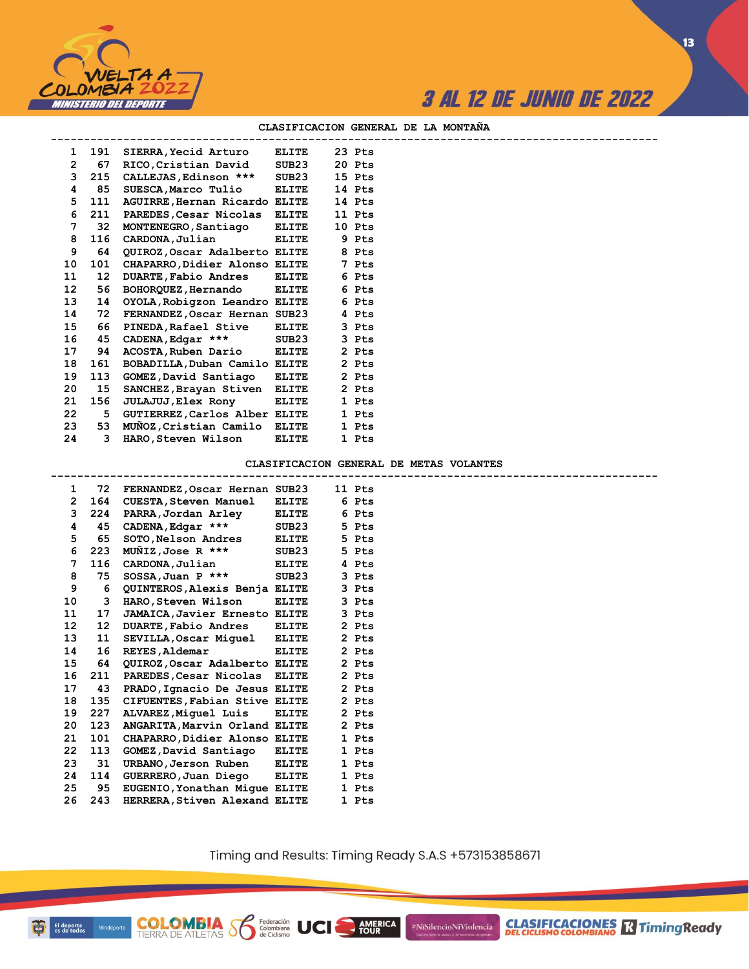

#### **CLASIFICACION GENERAL DE LA MONTAÑA**

| $\mathbf{1}$   | 191              | SIERRA, Yecid Arturo          | ELITE        | 23 Pts |  |
|----------------|------------------|-------------------------------|--------------|--------|--|
| $\overline{2}$ | 67               | RICO, Cristian David          | SUB23        | 20 Pts |  |
| 3              | 215              | CALLEJAS, Edinson ***         | SUB23        | 15 Pts |  |
| 4              | 85               | SUESCA, Marco Tulio           | <b>ELITE</b> | 14 Pts |  |
| 5.             | 111              | AGUIRRE, Hernan Ricardo ELITE |              | 14 Pts |  |
| 6              | 211              | PAREDES, Cesar Nicolas ELITE  |              | 11 Pts |  |
| 7              | 32               | MONTENEGRO, Santiago          | <b>ELITE</b> | 10 Pts |  |
| 8              | 116              | CARDONA, Julian               | <b>ELITE</b> | 9 Pts  |  |
| 9              | 64               | QUIROZ, Oscar Adalberto ELITE |              | 8 Pts  |  |
| 10             | 101              | CHAPARRO, Didier Alonso ELITE |              | 7 Pts  |  |
| 11             | 12 <sup>12</sup> | <b>DUARTE, Fabio Andres</b>   | <b>ELITE</b> | 6 Pts  |  |
| 12             | 56               | BOHORQUEZ, Hernando ELITE     |              | 6 Pts  |  |
| 13             | 14               | OYOLA, Robigzon Leandro ELITE |              | 6 Pts  |  |
| 14             | 72               | FERNANDEZ, Oscar Hernan SUB23 |              | 4 Pts  |  |
| 15             | 66               | PINEDA, Rafael Stive          | ELITE        | 3 Pts  |  |
| 16             | 45               | $CADERA, Edgar$ ***           | SUB23        | 3 Pts  |  |
| 17             | 94               | ACOSTA, Ruben Dario ELITE     |              | 2 Pts  |  |
| 18             | 161              | BOBADILLA, Duban Camilo ELITE |              | 2 Pts  |  |
| 19             | 113              | GOMEZ, David Santiago         | <b>ELITE</b> | 2 Pts  |  |
| 20             | 15               | SANCHEZ, Brayan Stiven ELITE  |              | 2 Pts  |  |
| 21             | 156              | <b>JULAJUJ, Elex Rony</b>     | <b>ELITE</b> | 1 Pts  |  |
| 22             | 5                | GUTIERREZ, Carlos Alber ELITE |              | 1 Pts  |  |
| 23             | 53               | MUNOZ, Cristian Camilo ELITE  |              | 1 Pts  |  |
| 24             | 3                | HARO,Steven Wilson            | <b>ELITE</b> | 1 Pts  |  |
|                |                  |                               |              |        |  |

**COLOMBIA** Solenbiana<br>TIERRA DE ATLETAS SOLENDO de Ciclismo

### **CLASIFICACION GENERAL DE METAS VOLANTES**

| 1                     |     | 72 FERNANDEZ, Oscar Hernan SUB23     |              | 11 Pts |  |
|-----------------------|-----|--------------------------------------|--------------|--------|--|
| $\mathbf{2}^{\prime}$ | 164 | <b>CUESTA, Steven Manuel</b>         | <b>ELITE</b> | 6 Pts  |  |
| 3                     | 224 | PARRA,Jordan Arley                   | <b>ELITE</b> | 6 Pts  |  |
| 4                     | 45  | CADENA, Edgar ***                    | SUB23        | 5 Pts  |  |
| 5                     | 65  | SOTO, Nelson Andres                  | <b>ELITE</b> | 5 Pts  |  |
| 6                     | 223 | MUNIZ, Jose R ***                    | SUB23        | 5 Pts  |  |
| 7                     | 116 | CARDONA, Julian                      | <b>ELITE</b> | 4 Pts  |  |
| 8                     | 75  | $SOSSA$ , Juan P ***                 | SUB23        | 3 Pts  |  |
| 9                     | 6   | QUINTEROS, Alexis Benja ELITE        |              | 3 Pts  |  |
| 10                    | 3   | HARO,Steven Wilson                   | <b>ELITE</b> | 3 Pts  |  |
| 11                    | 17  | <b>JAMAICA, Javier Ernesto ELITE</b> |              | 3 Pts  |  |
| 12 <sup>°</sup>       | 12  | <b>DUARTE, Fabio Andres</b>          | <b>ELITE</b> | 2 Pts  |  |
| 13                    | 11  | SEVILLA, Oscar Miquel ELITE          |              | 2 Pts  |  |
| 14                    | 16  | REYES, Aldemar                       | <b>ELITE</b> | 2 Pts  |  |
| 15                    | 64  | QUIROZ, Oscar Adalberto ELITE        |              | 2 Pts  |  |
| 16                    | 211 | PAREDES, Cesar Nicolas ELITE         |              | 2 Pts  |  |
| 17                    | 43  | PRADO, Ignacio De Jesus ELITE        |              | 2 Pts  |  |
| 18                    | 135 | CIFUENTES, Fabian Stive ELITE        |              | 2 Pts  |  |
| 19                    | 227 | ALVAREZ, Miquel Luis                 | <b>ELITE</b> | 2 Pts  |  |
| 20                    | 123 | ANGARITA Marvin Orland ELITE         |              | 2 Pts  |  |
| 21                    | 101 | CHAPARRO, Didier Alonso ELITE        |              | 1 Pts  |  |
| 22                    | 113 | GOMEZ, David Santiago                | <b>ELITE</b> | 1 Pts  |  |
| 23                    | 31  | URBANO, Jerson Ruben ELITE           |              | 1 Pts  |  |
| 24                    | 114 | GUERRERO, Juan Diego ELITE           |              | 1 Pts  |  |
| 25                    | 95  | EUGENIO, Yonathan Mique ELITE        |              | 1 Pts  |  |
| 26                    | 243 | HERRERA, Stiven Alexand ELITE        |              | 1 Pts  |  |

Timing and Results: Timing Ready S.A.S +573153858671

AMERICA

UCI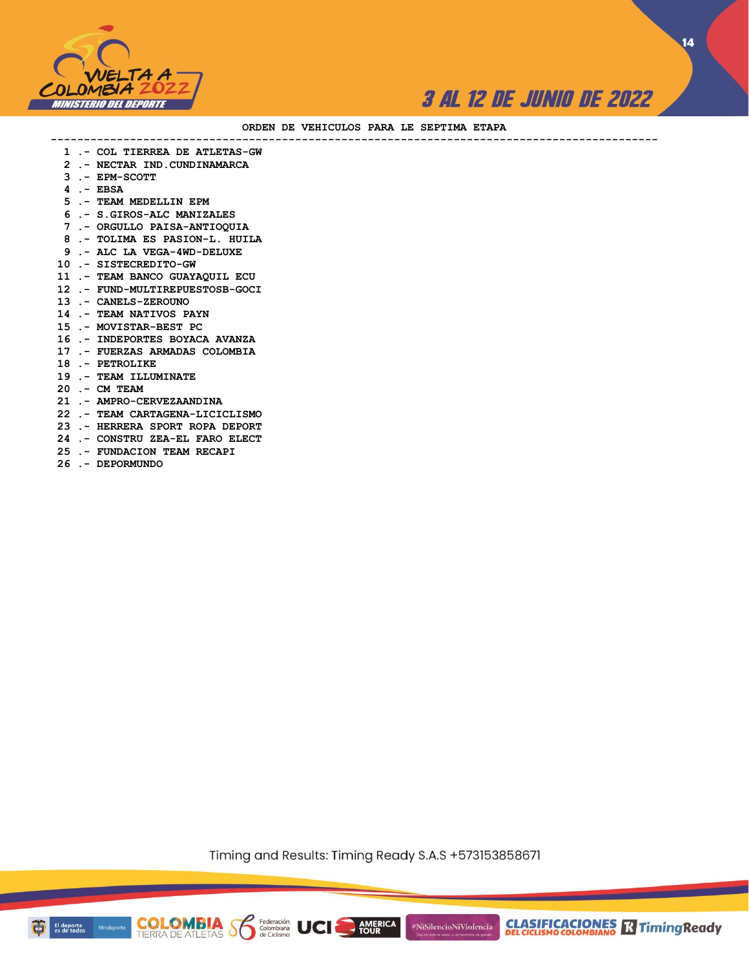

**14**

#### **ORDEN DE VEHICULOS PARA LE SEPTIMA ETAPA**

 **1 .- COL TIERREA DE ATLETAS-GW**

**--------------------------------------------------------------------------------------------**

- **2 .- NECTAR IND.CUNDINAMARCA**
- **3 .- EPM-SCOTT**
- **4 .- EBSA**
- **5 .- TEAM MEDELLIN EPM**
- **6 .- S.GIROS-ALC MANIZALES**
- **7 .- ORGULLO PAISA-ANTIOQUIA**
- **8 .- TOLIMA ES PASION-L. HUILA**
- **9 .- ALC LA VEGA-4WD-DELUXE**
- **10 .- SISTECREDITO-GW**
- **11 .- TEAM BANCO GUAYAQUIL ECU**
- **12 .- FUND-MULTIREPUESTOSB-GOCI**
- **13 .- CANELS-ZEROUNO**
- **14 .- TEAM NATIVOS PAYN**
- **15 .- MOVISTAR-BEST PC**
- **16 .- INDEPORTES BOYACA AVANZA**
- **17 .- FUERZAS ARMADAS COLOMBIA**
- **18 .- PETROLIKE**
- **19 .- TEAM ILLUMINATE**
- **20 .- CM TEAM**
- **21 .- AMPRO-CERVEZAANDINA**
- **22 .- TEAM CARTAGENA-LICICLISMO**
- **23 .- HERRERA SPORT ROPA DEPORT**
- **24 .- CONSTRU ZEA-EL FARO ELECT**
- **25 .- FUNDACION TEAM RECAPI**
- **26 .- DEPORMUNDO**

Timing and Results: Timing Ready S.A.S +573153858671

**AMERICA** 

**COLOMBIA Solombiana** UCI

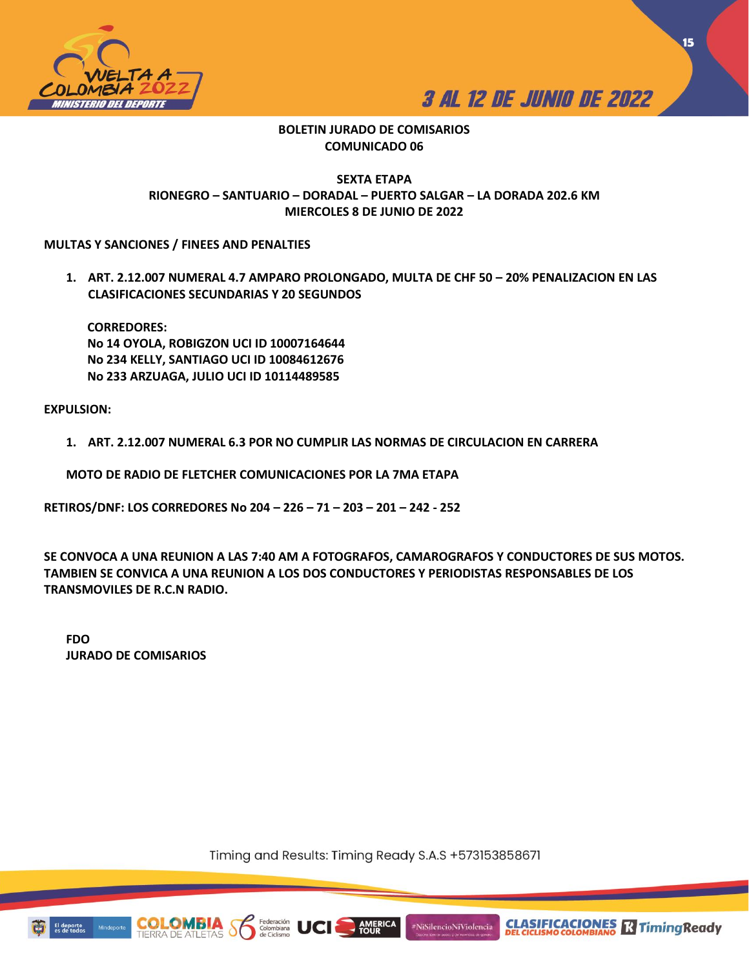



**15**

## **BOLETIN JURADO DE COMISARIOS COMUNICADO 06**

## **SEXTA ETAPA RIONEGRO – SANTUARIO – DORADAL – PUERTO SALGAR – LA DORADA 202.6 KM MIERCOLES 8 DE JUNIO DE 2022**

## **MULTAS Y SANCIONES / FINEES AND PENALTIES**

1. ART. 2.12.007 NUMERAL 4.7 AMPARO PROLONGADO, MULTA DE CHF 50 - 20% PENALIZACION EN LAS **CLASIFICACIONES SECUNDARIAS Y 20 SEGUNDOS**

**CORREDORES: No 14 OYOLA, ROBIGZON UCI ID 10007164644 No 234 KELLY, SANTIAGO UCI ID 10084612676 No 233 ARZUAGA, JULIO UCI ID 10114489585**

## **EXPULSION:**

**1. ART. 2.12.007 NUMERAL 6.3 POR NO CUMPLIR LAS NORMAS DE CIRCULACION EN CARRERA**

**MOTO DE RADIO DE FLETCHER COMUNICACIONES POR LA 7MA ETAPA**

**RETIROS/DNF: LOS CORREDORES No 204 – 226 – 71 – 203 – 201 – 242 - 252**

**SE CONVOCA A UNA REUNION A LAS 7:40 AM A FOTOGRAFOS, CAMAROGRAFOS Y CONDUCTORES DE SUS MOTOS. TAMBIEN SE CONVICA A UNA REUNION A LOS DOS CONDUCTORES Y PERIODISTAS RESPONSABLES DE LOS TRANSMOVILES DE R.C.N RADIO.** 

**FDO JURADO DE COMISARIOS**

Timing and Results: Timing Ready S.A.S +573153858671

**AMERICA**<br>TOUR

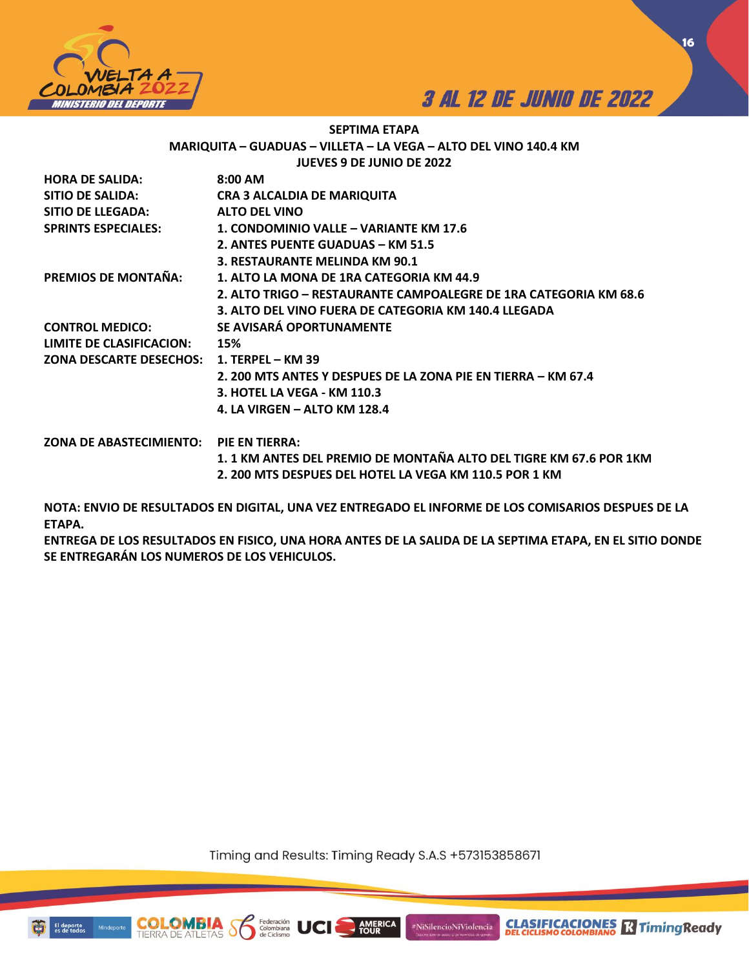



**CLASIFICACIONES Relationship Ready** 

**16**

## **SEPTIMA ETAPA MARIQUITA – GUADUAS – VILLETA – LA VEGA – ALTO DEL VINO 140.4 KM JUEVES 9 DE JUNIO DE 2022**

| <b>HORA DE SALIDA:</b>                    | $8:00$ AM                                                         |
|-------------------------------------------|-------------------------------------------------------------------|
| <b>SITIO DE SALIDA:</b>                   | <b>CRA 3 ALCALDIA DE MARIQUITA</b>                                |
| SITIO DE LLEGADA:                         | <b>ALTO DEL VINO</b>                                              |
| <b>SPRINTS ESPECIALES:</b>                | 1. CONDOMINIO VALLE – VARIANTE KM 17.6                            |
|                                           | 2. ANTES PUENTE GUADUAS - KM 51.5                                 |
|                                           | 3. RESTAURANTE MELINDA KM 90.1                                    |
| <b>PREMIOS DE MONTAÑA:</b>                | 1. ALTO LA MONA DE 1RA CATEGORIA KM 44.9                          |
|                                           | 2. ALTO TRIGO – RESTAURANTE CAMPOALEGRE DE 1RA CATEGORIA KM 68.6  |
|                                           | 3. ALTO DEL VINO FUERA DE CATEGORIA KM 140.4 LLEGADA              |
| <b>CONTROL MEDICO:</b>                    | SE AVISARÁ OPORTUNAMENTE                                          |
| LIMITE DE CLASIFICACION:                  | 15%                                                               |
| ZONA DESCARTE DESECHOS: 1. TERPEL – KM 39 |                                                                   |
|                                           | 2. 200 MTS ANTES Y DESPUES DE LA ZONA PIE EN TIERRA – KM 67.4     |
|                                           | 3. HOTEL LA VEGA - KM 110.3                                       |
|                                           | 4. LA VIRGEN - ALTO KM 128.4                                      |
| ZONA DE ABASTECIMIENTO: PIE EN TIERRA:    |                                                                   |
|                                           | 1.1 KM ANTES DEL PREMIO DE MONTAÑA ALTO DEL TIGRE KM 67.6 POR 1KM |
|                                           | 2. 200 MTS DESPUES DEL HOTEL LA VEGA KM 110.5 POR 1 KM            |

**NOTA: ENVIO DE RESULTADOS EN DIGITAL, UNA VEZ ENTREGADO EL INFORME DE LOS COMISARIOS DESPUES DE LA ETAPA.** 

**ENTREGA DE LOS RESULTADOS EN FISICO, UNA HORA ANTES DE LA SALIDA DE LA SEPTIMA ETAPA, EN EL SITIO DONDE SE ENTREGARÁN LOS NUMEROS DE LOS VEHICULOS.** 

Timing and Results: Timing Ready S.A.S +573153858671

AMERICA

#NiSilencioNiViolencia

Federación<br>Colombiana



COI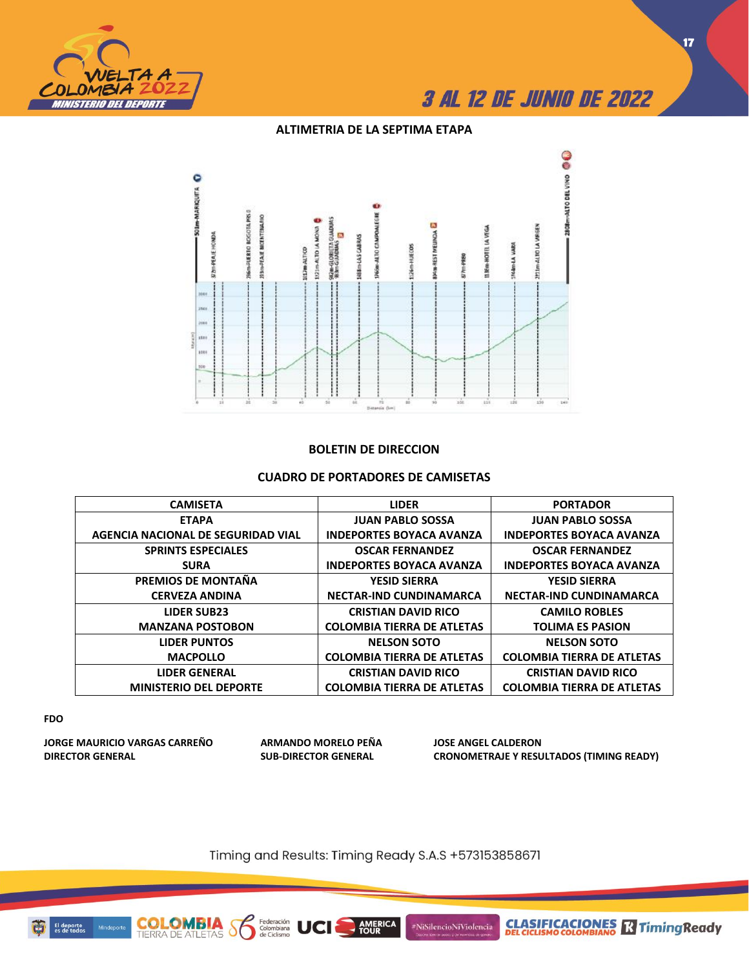

## **ALTIMETRIA DE LA SEPTIMA ETAPA**



### **BOLETIN DE DIRECCION**

### **CUADRO DE PORTADORES DE CAMISETAS**

| <b>CAMISETA</b>                    | <b>LIDER</b>                      | <b>PORTADOR</b>                   |
|------------------------------------|-----------------------------------|-----------------------------------|
| <b>ETAPA</b>                       | <b>JUAN PABLO SOSSA</b>           | <b>JUAN PABLO SOSSA</b>           |
| AGENCIA NACIONAL DE SEGURIDAD VIAL | <b>INDEPORTES BOYACA AVANZA</b>   | <b>INDEPORTES BOYACA AVANZA</b>   |
| <b>SPRINTS ESPECIALES</b>          | <b>OSCAR FERNANDEZ</b>            | <b>OSCAR FERNANDEZ</b>            |
| <b>SURA</b>                        | <b>INDEPORTES BOYACA AVANZA</b>   | <b>INDEPORTES BOYACA AVANZA</b>   |
| PREMIOS DE MONTAÑA                 | <b>YESID SIERRA</b>               | <b>YESID SIERRA</b>               |
| <b>CERVEZA ANDINA</b>              | <b>NECTAR-IND CUNDINAMARCA</b>    | <b>NECTAR-IND CUNDINAMARCA</b>    |
| <b>LIDER SUB23</b>                 | <b>CRISTIAN DAVID RICO</b>        | <b>CAMILO ROBLES</b>              |
| <b>MANZANA POSTOBON</b>            | <b>COLOMBIA TIERRA DE ATLETAS</b> | <b>TOLIMA ES PASION</b>           |
| <b>LIDER PUNTOS</b>                | <b>NELSON SOTO</b>                | <b>NELSON SOTO</b>                |
| <b>MACPOLLO</b>                    | <b>COLOMBIA TIERRA DE ATLETAS</b> | <b>COLOMBIA TIERRA DE ATLETAS</b> |
| <b>LIDER GENERAL</b>               | <b>CRISTIAN DAVID RICO</b>        | <b>CRISTIAN DAVID RICO</b>        |
| <b>MINISTERIO DEL DEPORTE</b>      | <b>COLOMBIA TIERRA DE ATLETAS</b> | <b>COLOMBIA TIERRA DE ATLETAS</b> |

### **FDO**

**JORGE MAURICIO VARGAS CARREÑO ARMANDO MORELO PEÑA JOSE ANGEL CALDERON**

**COLOMBIA**<br>TIERRA DE ATLETAS

Federación<br>Colombiana<br>de Ciclismo

 $\delta$ 

UCI

**DIRECTOR GENERAL SUB-DIRECTOR GENERAL CRONOMETRAJE Y RESULTADOS (TIMING READY)**

Timing and Results: Timing Ready S.A.S +573153858671

**AMERICA**<br>TOUR

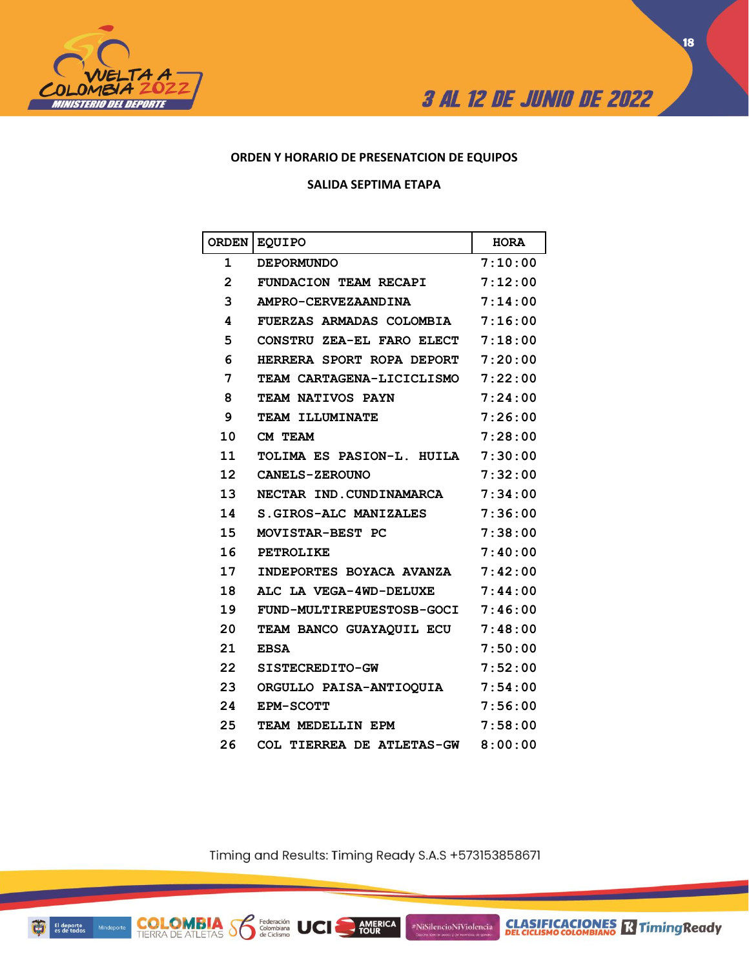



## **ORDEN Y HORARIO DE PRESENATCION DE EQUIPOS**

### **SALIDA SEPTIMA ETAPA**

| <b>ORDEN</b>      | <b>EQUIPO</b>                    | <b>HORA</b> |
|-------------------|----------------------------------|-------------|
| 1                 | <b>DEPORMUNDO</b>                | 7:10:00     |
| $\mathbf{2}$      | <b>FUNDACION TEAM RECAPI</b>     | 7:12:00     |
| 3                 | AMPRO-CERVEZAANDINA              | 7:14:00     |
| 4                 | <b>FUERZAS ARMADAS COLOMBIA</b>  | 7:16:00     |
| 5                 | <b>CONSTRU ZEA-EL FARO ELECT</b> | 7:18:00     |
| 6                 | HERRERA SPORT ROPA DEPORT        | 7:20:00     |
| 7                 | TEAM CARTAGENA-LICICLISMO        | 7:22:00     |
| 8                 | TEAM NATIVOS PAYN                | 7:24:00     |
| 9                 | TEAM ILLUMINATE                  | 7:26:00     |
| 10                | CM TEAM                          | 7:28:00     |
| 11                | TOLIMA ES PASION-L. HUILA        | 7:30:00     |
| $12 \overline{ }$ | CANELS-ZEROUNO                   | 7:32:00     |
| 13                | NECTAR IND.CUNDINAMARCA          | 7:34:00     |
| 14                | S.GIROS-ALC MANIZALES            | 7:36:00     |
| 15                | MOVISTAR-BEST PC                 | 7:38:00     |
| 16                | <b>PETROLIKE</b>                 | 7:40:00     |
| 17                | INDEPORTES BOYACA AVANZA         | 7:42:00     |
| 18                | ALC LA VEGA-4WD-DELUXE           | 7:44:00     |
| 19                | FUND-MULTIREPUESTOSB-GOCI        | 7:46:00     |
| 20                | TEAM BANCO GUAYAOUIL ECU         | 7:48:00     |
| 21                | <b>EBSA</b>                      | 7:50:00     |
| 22                | SISTECREDITO-GW                  | 7:52:00     |
| 23                | ORGULLO PAISA-ANTIOOUIA          | 7:54:00     |
| 24                | <b>EPM-SCOTT</b>                 | 7:56:00     |
| 25                | TEAM MEDELLIN EPM                | 7:58:00     |
| 26                | COL TIERREA DE ATLETAS-GW        | 8:00:00     |

Timing and Results: Timing Ready S.A.S +573153858671

AMERICA

#NiSilencioNiViolencia

Federación<br>Colombiana<br>de Ciclismo

**COLOMBIA SS**